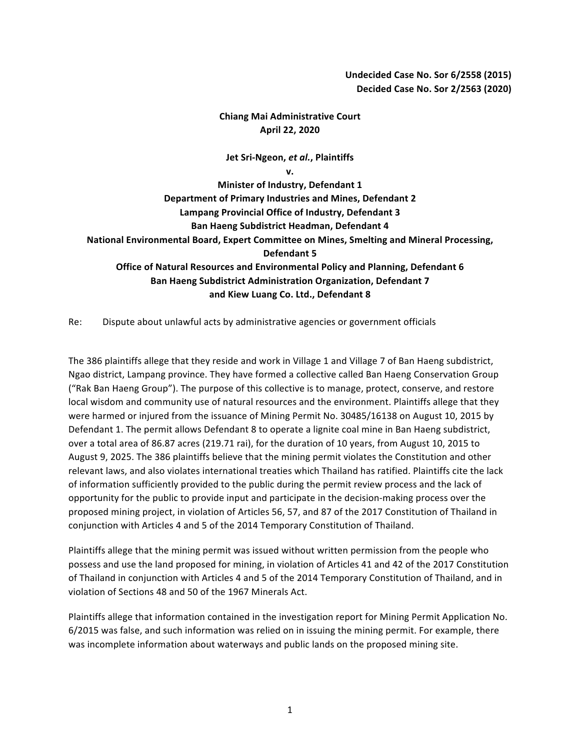## **Undecided Case No. Sor 6/2558 (2015) Decided Case No. Sor 2/2563 (2020)**

## **Chiang Mai Administrative Court April 22, 2020**

## **Jet Sri-Ngeon,** *et al.***, Plaintiffs**

**v. Minister of Industry, Defendant 1** Department of Primary Industries and Mines, Defendant 2 Lampang Provincial Office of Industry, Defendant 3 **Ban Haeng Subdistrict Headman, Defendant 4** National Environmental Board, Expert Committee on Mines, Smelting and Mineral Processing, **Defendant 5 Office of Natural Resources and Environmental Policy and Planning, Defendant 6 Ban Haeng Subdistrict Administration Organization, Defendant 7** and Kiew Luang Co. Ltd., Defendant 8

Re: Dispute about unlawful acts by administrative agencies or government officials

The 386 plaintiffs allege that they reside and work in Village 1 and Village 7 of Ban Haeng subdistrict, Ngao district, Lampang province. They have formed a collective called Ban Haeng Conservation Group ("Rak Ban Haeng Group"). The purpose of this collective is to manage, protect, conserve, and restore local wisdom and community use of natural resources and the environment. Plaintiffs allege that they were harmed or injured from the issuance of Mining Permit No. 30485/16138 on August 10, 2015 by Defendant 1. The permit allows Defendant 8 to operate a lignite coal mine in Ban Haeng subdistrict, over a total area of 86.87 acres (219.71 rai), for the duration of 10 years, from August 10, 2015 to August 9, 2025. The 386 plaintiffs believe that the mining permit violates the Constitution and other relevant laws, and also violates international treaties which Thailand has ratified. Plaintiffs cite the lack of information sufficiently provided to the public during the permit review process and the lack of opportunity for the public to provide input and participate in the decision-making process over the proposed mining project, in violation of Articles 56, 57, and 87 of the 2017 Constitution of Thailand in conjunction with Articles 4 and 5 of the 2014 Temporary Constitution of Thailand.

Plaintiffs allege that the mining permit was issued without written permission from the people who possess and use the land proposed for mining, in violation of Articles 41 and 42 of the 2017 Constitution of Thailand in conjunction with Articles 4 and 5 of the 2014 Temporary Constitution of Thailand, and in violation of Sections 48 and 50 of the 1967 Minerals Act.

Plaintiffs allege that information contained in the investigation report for Mining Permit Application No. 6/2015 was false, and such information was relied on in issuing the mining permit. For example, there was incomplete information about waterways and public lands on the proposed mining site.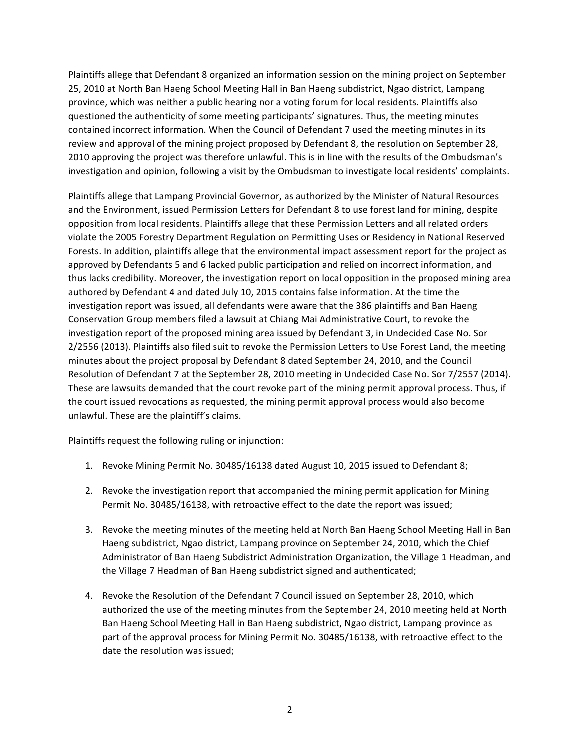Plaintiffs allege that Defendant 8 organized an information session on the mining project on September 25, 2010 at North Ban Haeng School Meeting Hall in Ban Haeng subdistrict, Ngao district, Lampang province, which was neither a public hearing nor a voting forum for local residents. Plaintiffs also questioned the authenticity of some meeting participants' signatures. Thus, the meeting minutes contained incorrect information. When the Council of Defendant 7 used the meeting minutes in its review and approval of the mining project proposed by Defendant 8, the resolution on September 28, 2010 approving the project was therefore unlawful. This is in line with the results of the Ombudsman's investigation and opinion, following a visit by the Ombudsman to investigate local residents' complaints.

Plaintiffs allege that Lampang Provincial Governor, as authorized by the Minister of Natural Resources and the Environment, issued Permission Letters for Defendant 8 to use forest land for mining, despite opposition from local residents. Plaintiffs allege that these Permission Letters and all related orders violate the 2005 Forestry Department Regulation on Permitting Uses or Residency in National Reserved Forests. In addition, plaintiffs allege that the environmental impact assessment report for the project as approved by Defendants 5 and 6 lacked public participation and relied on incorrect information, and thus lacks credibility. Moreover, the investigation report on local opposition in the proposed mining area authored by Defendant 4 and dated July 10, 2015 contains false information. At the time the investigation report was issued, all defendants were aware that the 386 plaintiffs and Ban Haeng Conservation Group members filed a lawsuit at Chiang Mai Administrative Court, to revoke the investigation report of the proposed mining area issued by Defendant 3, in Undecided Case No. Sor 2/2556 (2013). Plaintiffs also filed suit to revoke the Permission Letters to Use Forest Land, the meeting minutes about the project proposal by Defendant 8 dated September 24, 2010, and the Council Resolution of Defendant 7 at the September 28, 2010 meeting in Undecided Case No. Sor 7/2557 (2014). These are lawsuits demanded that the court revoke part of the mining permit approval process. Thus, if the court issued revocations as requested, the mining permit approval process would also become unlawful. These are the plaintiff's claims.

Plaintiffs request the following ruling or injunction:

- 1. Revoke Mining Permit No. 30485/16138 dated August 10, 2015 issued to Defendant 8;
- 2. Revoke the investigation report that accompanied the mining permit application for Mining Permit No. 30485/16138, with retroactive effect to the date the report was issued;
- 3. Revoke the meeting minutes of the meeting held at North Ban Haeng School Meeting Hall in Ban Haeng subdistrict, Ngao district, Lampang province on September 24, 2010, which the Chief Administrator of Ban Haeng Subdistrict Administration Organization, the Village 1 Headman, and the Village 7 Headman of Ban Haeng subdistrict signed and authenticated;
- 4. Revoke the Resolution of the Defendant 7 Council issued on September 28, 2010, which authorized the use of the meeting minutes from the September 24, 2010 meeting held at North Ban Haeng School Meeting Hall in Ban Haeng subdistrict, Ngao district, Lampang province as part of the approval process for Mining Permit No. 30485/16138, with retroactive effect to the date the resolution was issued;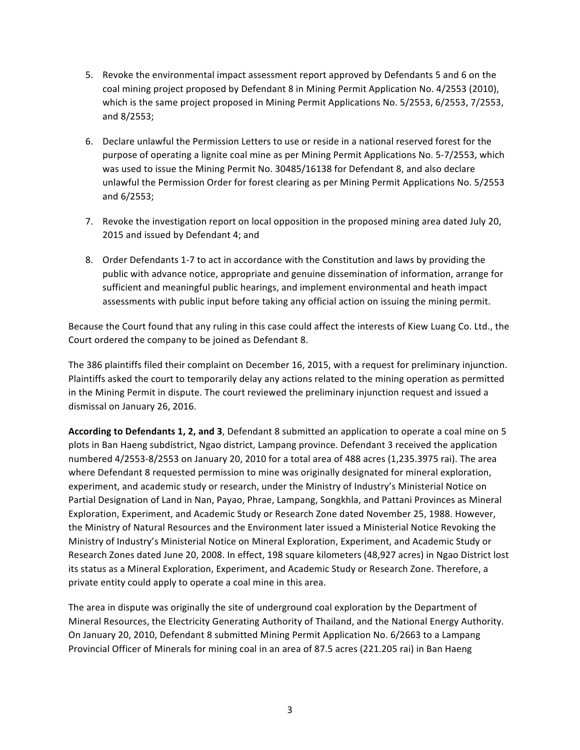- 5. Revoke the environmental impact assessment report approved by Defendants 5 and 6 on the coal mining project proposed by Defendant 8 in Mining Permit Application No. 4/2553 (2010), which is the same project proposed in Mining Permit Applications No. 5/2553, 6/2553, 7/2553, and 8/2553;
- 6. Declare unlawful the Permission Letters to use or reside in a national reserved forest for the purpose of operating a lignite coal mine as per Mining Permit Applications No. 5-7/2553, which was used to issue the Mining Permit No. 30485/16138 for Defendant 8, and also declare unlawful the Permission Order for forest clearing as per Mining Permit Applications No. 5/2553 and 6/2553;
- 7. Revoke the investigation report on local opposition in the proposed mining area dated July 20, 2015 and issued by Defendant 4; and
- 8. Order Defendants 1-7 to act in accordance with the Constitution and laws by providing the public with advance notice, appropriate and genuine dissemination of information, arrange for sufficient and meaningful public hearings, and implement environmental and heath impact assessments with public input before taking any official action on issuing the mining permit.

Because the Court found that any ruling in this case could affect the interests of Kiew Luang Co. Ltd., the Court ordered the company to be joined as Defendant 8.

The 386 plaintiffs filed their complaint on December 16, 2015, with a request for preliminary injunction. Plaintiffs asked the court to temporarily delay any actions related to the mining operation as permitted in the Mining Permit in dispute. The court reviewed the preliminary injunction request and issued a dismissal on January 26, 2016.

According to Defendants 1, 2, and 3, Defendant 8 submitted an application to operate a coal mine on 5 plots in Ban Haeng subdistrict, Ngao district, Lampang province. Defendant 3 received the application numbered 4/2553-8/2553 on January 20, 2010 for a total area of 488 acres (1,235.3975 rai). The area where Defendant 8 requested permission to mine was originally designated for mineral exploration, experiment, and academic study or research, under the Ministry of Industry's Ministerial Notice on Partial Designation of Land in Nan, Payao, Phrae, Lampang, Songkhla, and Pattani Provinces as Mineral Exploration, Experiment, and Academic Study or Research Zone dated November 25, 1988. However, the Ministry of Natural Resources and the Environment later issued a Ministerial Notice Revoking the Ministry of Industry's Ministerial Notice on Mineral Exploration, Experiment, and Academic Study or Research Zones dated June 20, 2008. In effect, 198 square kilometers (48,927 acres) in Ngao District lost its status as a Mineral Exploration, Experiment, and Academic Study or Research Zone. Therefore, a private entity could apply to operate a coal mine in this area.

The area in dispute was originally the site of underground coal exploration by the Department of Mineral Resources, the Electricity Generating Authority of Thailand, and the National Energy Authority. On January 20, 2010, Defendant 8 submitted Mining Permit Application No. 6/2663 to a Lampang Provincial Officer of Minerals for mining coal in an area of 87.5 acres (221.205 rai) in Ban Haeng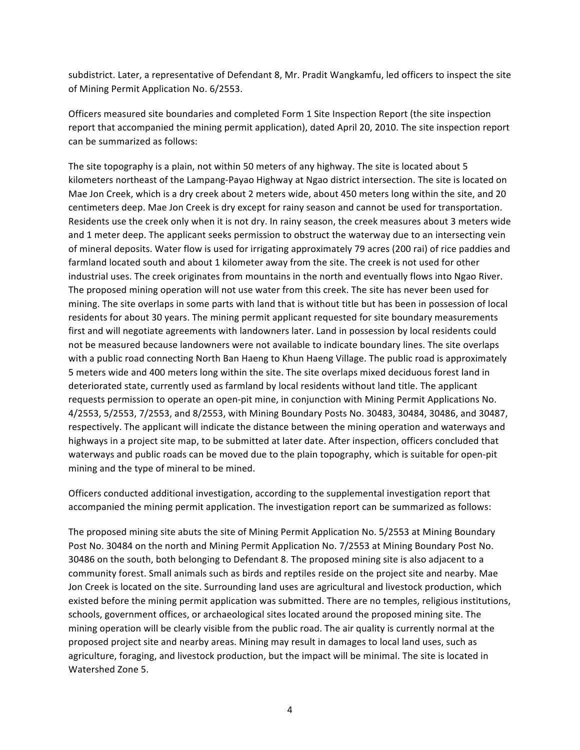subdistrict. Later, a representative of Defendant 8, Mr. Pradit Wangkamfu, led officers to inspect the site of Mining Permit Application No. 6/2553.

Officers measured site boundaries and completed Form 1 Site Inspection Report (the site inspection report that accompanied the mining permit application), dated April 20, 2010. The site inspection report can be summarized as follows:

The site topography is a plain, not within 50 meters of any highway. The site is located about 5 kilometers northeast of the Lampang-Payao Highway at Ngao district intersection. The site is located on Mae Jon Creek, which is a dry creek about 2 meters wide, about 450 meters long within the site, and 20 centimeters deep. Mae Jon Creek is dry except for rainy season and cannot be used for transportation. Residents use the creek only when it is not dry. In rainy season, the creek measures about 3 meters wide and 1 meter deep. The applicant seeks permission to obstruct the waterway due to an intersecting vein of mineral deposits. Water flow is used for irrigating approximately 79 acres (200 rai) of rice paddies and farmland located south and about 1 kilometer away from the site. The creek is not used for other industrial uses. The creek originates from mountains in the north and eventually flows into Ngao River. The proposed mining operation will not use water from this creek. The site has never been used for mining. The site overlaps in some parts with land that is without title but has been in possession of local residents for about 30 years. The mining permit applicant requested for site boundary measurements first and will negotiate agreements with landowners later. Land in possession by local residents could not be measured because landowners were not available to indicate boundary lines. The site overlaps with a public road connecting North Ban Haeng to Khun Haeng Village. The public road is approximately 5 meters wide and 400 meters long within the site. The site overlaps mixed deciduous forest land in deteriorated state, currently used as farmland by local residents without land title. The applicant requests permission to operate an open-pit mine, in conjunction with Mining Permit Applications No. 4/2553, 5/2553, 7/2553, and 8/2553, with Mining Boundary Posts No. 30483, 30484, 30486, and 30487, respectively. The applicant will indicate the distance between the mining operation and waterways and highways in a project site map, to be submitted at later date. After inspection, officers concluded that waterways and public roads can be moved due to the plain topography, which is suitable for open-pit mining and the type of mineral to be mined.

Officers conducted additional investigation, according to the supplemental investigation report that accompanied the mining permit application. The investigation report can be summarized as follows:

The proposed mining site abuts the site of Mining Permit Application No. 5/2553 at Mining Boundary Post No. 30484 on the north and Mining Permit Application No. 7/2553 at Mining Boundary Post No. 30486 on the south, both belonging to Defendant 8. The proposed mining site is also adjacent to a community forest. Small animals such as birds and reptiles reside on the project site and nearby. Mae Jon Creek is located on the site. Surrounding land uses are agricultural and livestock production, which existed before the mining permit application was submitted. There are no temples, religious institutions, schools, government offices, or archaeological sites located around the proposed mining site. The mining operation will be clearly visible from the public road. The air quality is currently normal at the proposed project site and nearby areas. Mining may result in damages to local land uses, such as agriculture, foraging, and livestock production, but the impact will be minimal. The site is located in Watershed Zone 5.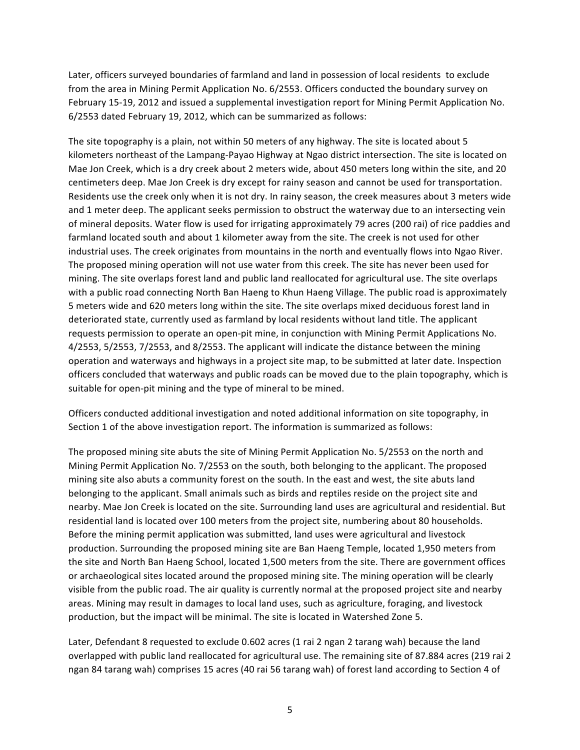Later, officers surveyed boundaries of farmland and land in possession of local residents to exclude from the area in Mining Permit Application No. 6/2553. Officers conducted the boundary survey on February 15-19, 2012 and issued a supplemental investigation report for Mining Permit Application No. 6/2553 dated February 19, 2012, which can be summarized as follows:

The site topography is a plain, not within 50 meters of any highway. The site is located about 5 kilometers northeast of the Lampang-Payao Highway at Ngao district intersection. The site is located on Mae Jon Creek, which is a dry creek about 2 meters wide, about 450 meters long within the site, and 20 centimeters deep. Mae Jon Creek is dry except for rainy season and cannot be used for transportation. Residents use the creek only when it is not dry. In rainy season, the creek measures about 3 meters wide and 1 meter deep. The applicant seeks permission to obstruct the waterway due to an intersecting vein of mineral deposits. Water flow is used for irrigating approximately 79 acres (200 rai) of rice paddies and farmland located south and about 1 kilometer away from the site. The creek is not used for other industrial uses. The creek originates from mountains in the north and eventually flows into Ngao River. The proposed mining operation will not use water from this creek. The site has never been used for mining. The site overlaps forest land and public land reallocated for agricultural use. The site overlaps with a public road connecting North Ban Haeng to Khun Haeng Village. The public road is approximately 5 meters wide and 620 meters long within the site. The site overlaps mixed deciduous forest land in deteriorated state, currently used as farmland by local residents without land title. The applicant requests permission to operate an open-pit mine, in conjunction with Mining Permit Applications No. 4/2553, 5/2553, 7/2553, and 8/2553. The applicant will indicate the distance between the mining operation and waterways and highways in a project site map, to be submitted at later date. Inspection officers concluded that waterways and public roads can be moved due to the plain topography, which is suitable for open-pit mining and the type of mineral to be mined.

Officers conducted additional investigation and noted additional information on site topography, in Section 1 of the above investigation report. The information is summarized as follows:

The proposed mining site abuts the site of Mining Permit Application No. 5/2553 on the north and Mining Permit Application No. 7/2553 on the south, both belonging to the applicant. The proposed mining site also abuts a community forest on the south. In the east and west, the site abuts land belonging to the applicant. Small animals such as birds and reptiles reside on the project site and nearby. Mae Jon Creek is located on the site. Surrounding land uses are agricultural and residential. But residential land is located over 100 meters from the project site, numbering about 80 households. Before the mining permit application was submitted, land uses were agricultural and livestock production. Surrounding the proposed mining site are Ban Haeng Temple, located 1,950 meters from the site and North Ban Haeng School, located 1,500 meters from the site. There are government offices or archaeological sites located around the proposed mining site. The mining operation will be clearly visible from the public road. The air quality is currently normal at the proposed project site and nearby areas. Mining may result in damages to local land uses, such as agriculture, foraging, and livestock production, but the impact will be minimal. The site is located in Watershed Zone 5.

Later, Defendant 8 requested to exclude 0.602 acres (1 rai 2 ngan 2 tarang wah) because the land overlapped with public land reallocated for agricultural use. The remaining site of 87.884 acres (219 rai 2 ngan 84 tarang wah) comprises 15 acres (40 rai 56 tarang wah) of forest land according to Section 4 of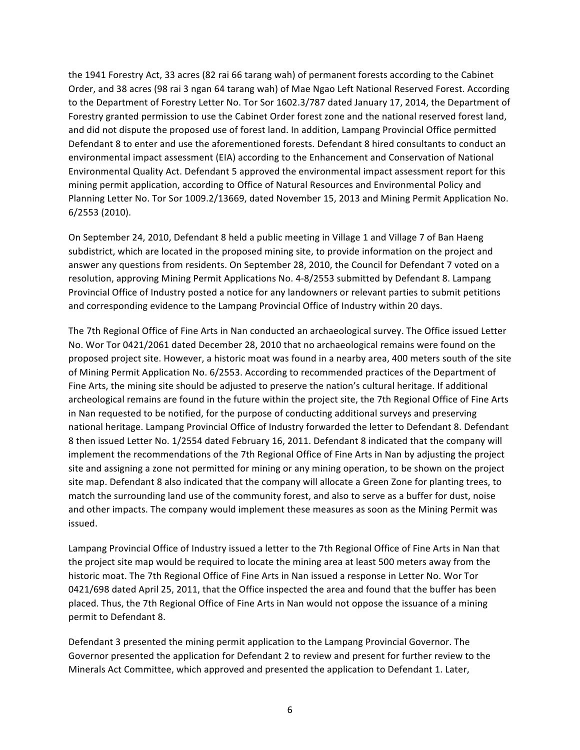the 1941 Forestry Act, 33 acres (82 rai 66 tarang wah) of permanent forests according to the Cabinet Order, and 38 acres (98 rai 3 ngan 64 tarang wah) of Mae Ngao Left National Reserved Forest. According to the Department of Forestry Letter No. Tor Sor 1602.3/787 dated January 17, 2014, the Department of Forestry granted permission to use the Cabinet Order forest zone and the national reserved forest land, and did not dispute the proposed use of forest land. In addition, Lampang Provincial Office permitted Defendant 8 to enter and use the aforementioned forests. Defendant 8 hired consultants to conduct an environmental impact assessment (EIA) according to the Enhancement and Conservation of National Environmental Quality Act. Defendant 5 approved the environmental impact assessment report for this mining permit application, according to Office of Natural Resources and Environmental Policy and Planning Letter No. Tor Sor 1009.2/13669, dated November 15, 2013 and Mining Permit Application No. 6/2553 (2010). 

On September 24, 2010, Defendant 8 held a public meeting in Village 1 and Village 7 of Ban Haeng subdistrict, which are located in the proposed mining site, to provide information on the project and answer any questions from residents. On September 28, 2010, the Council for Defendant 7 voted on a resolution, approving Mining Permit Applications No. 4-8/2553 submitted by Defendant 8. Lampang Provincial Office of Industry posted a notice for any landowners or relevant parties to submit petitions and corresponding evidence to the Lampang Provincial Office of Industry within 20 days.

The 7th Regional Office of Fine Arts in Nan conducted an archaeological survey. The Office issued Letter No. Wor Tor 0421/2061 dated December 28, 2010 that no archaeological remains were found on the proposed project site. However, a historic moat was found in a nearby area, 400 meters south of the site of Mining Permit Application No. 6/2553. According to recommended practices of the Department of Fine Arts, the mining site should be adjusted to preserve the nation's cultural heritage. If additional archeological remains are found in the future within the project site, the 7th Regional Office of Fine Arts in Nan requested to be notified, for the purpose of conducting additional surveys and preserving national heritage. Lampang Provincial Office of Industry forwarded the letter to Defendant 8. Defendant 8 then issued Letter No. 1/2554 dated February 16, 2011. Defendant 8 indicated that the company will implement the recommendations of the 7th Regional Office of Fine Arts in Nan by adjusting the project site and assigning a zone not permitted for mining or any mining operation, to be shown on the project site map. Defendant 8 also indicated that the company will allocate a Green Zone for planting trees, to match the surrounding land use of the community forest, and also to serve as a buffer for dust, noise and other impacts. The company would implement these measures as soon as the Mining Permit was issued. 

Lampang Provincial Office of Industry issued a letter to the 7th Regional Office of Fine Arts in Nan that the project site map would be required to locate the mining area at least 500 meters away from the historic moat. The 7th Regional Office of Fine Arts in Nan issued a response in Letter No. Wor Tor 0421/698 dated April 25, 2011, that the Office inspected the area and found that the buffer has been placed. Thus, the 7th Regional Office of Fine Arts in Nan would not oppose the issuance of a mining permit to Defendant 8.

Defendant 3 presented the mining permit application to the Lampang Provincial Governor. The Governor presented the application for Defendant 2 to review and present for further review to the Minerals Act Committee, which approved and presented the application to Defendant 1. Later,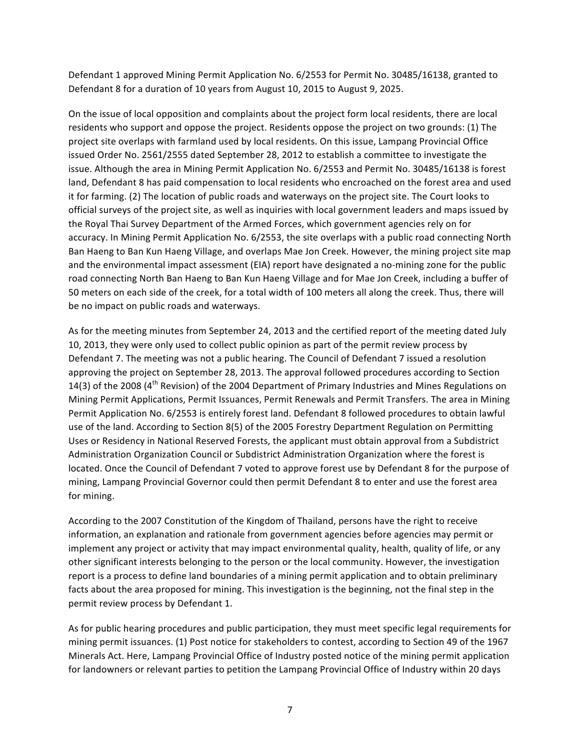Defendant 1 approved Mining Permit Application No. 6/2553 for Permit No. 30485/16138, granted to Defendant 8 for a duration of 10 years from August 10, 2015 to August 9, 2025.

On the issue of local opposition and complaints about the project form local residents, there are local residents who support and oppose the project. Residents oppose the project on two grounds: (1) The project site overlaps with farmland used by local residents. On this issue, Lampang Provincial Office issued Order No. 2561/2555 dated September 28, 2012 to establish a committee to investigate the issue. Although the area in Mining Permit Application No. 6/2553 and Permit No. 30485/16138 is forest land, Defendant 8 has paid compensation to local residents who encroached on the forest area and used it for farming. (2) The location of public roads and waterways on the project site. The Court looks to official surveys of the project site, as well as inquiries with local government leaders and maps issued by the Royal Thai Survey Department of the Armed Forces, which government agencies rely on for accuracy. In Mining Permit Application No. 6/2553, the site overlaps with a public road connecting North Ban Haeng to Ban Kun Haeng Village, and overlaps Mae Jon Creek. However, the mining project site map and the environmental impact assessment (EIA) report have designated a no-mining zone for the public road connecting North Ban Haeng to Ban Kun Haeng Village and for Mae Jon Creek, including a buffer of 50 meters on each side of the creek, for a total width of 100 meters all along the creek. Thus, there will be no impact on public roads and waterways.

As for the meeting minutes from September 24, 2013 and the certified report of the meeting dated July 10, 2013, they were only used to collect public opinion as part of the permit review process by Defendant 7. The meeting was not a public hearing. The Council of Defendant 7 issued a resolution approving the project on September 28, 2013. The approval followed procedures according to Section 14(3) of the 2008 (4<sup>th</sup> Revision) of the 2004 Department of Primary Industries and Mines Regulations on Mining Permit Applications, Permit Issuances, Permit Renewals and Permit Transfers. The area in Mining Permit Application No. 6/2553 is entirely forest land. Defendant 8 followed procedures to obtain lawful use of the land. According to Section 8(5) of the 2005 Forestry Department Regulation on Permitting Uses or Residency in National Reserved Forests, the applicant must obtain approval from a Subdistrict Administration Organization Council or Subdistrict Administration Organization where the forest is located. Once the Council of Defendant 7 voted to approve forest use by Defendant 8 for the purpose of mining, Lampang Provincial Governor could then permit Defendant 8 to enter and use the forest area for mining.

According to the 2007 Constitution of the Kingdom of Thailand, persons have the right to receive information, an explanation and rationale from government agencies before agencies may permit or implement any project or activity that may impact environmental quality, health, quality of life, or any other significant interests belonging to the person or the local community. However, the investigation report is a process to define land boundaries of a mining permit application and to obtain preliminary facts about the area proposed for mining. This investigation is the beginning, not the final step in the permit review process by Defendant 1.

As for public hearing procedures and public participation, they must meet specific legal requirements for mining permit issuances. (1) Post notice for stakeholders to contest, according to Section 49 of the 1967 Minerals Act. Here, Lampang Provincial Office of Industry posted notice of the mining permit application for landowners or relevant parties to petition the Lampang Provincial Office of Industry within 20 days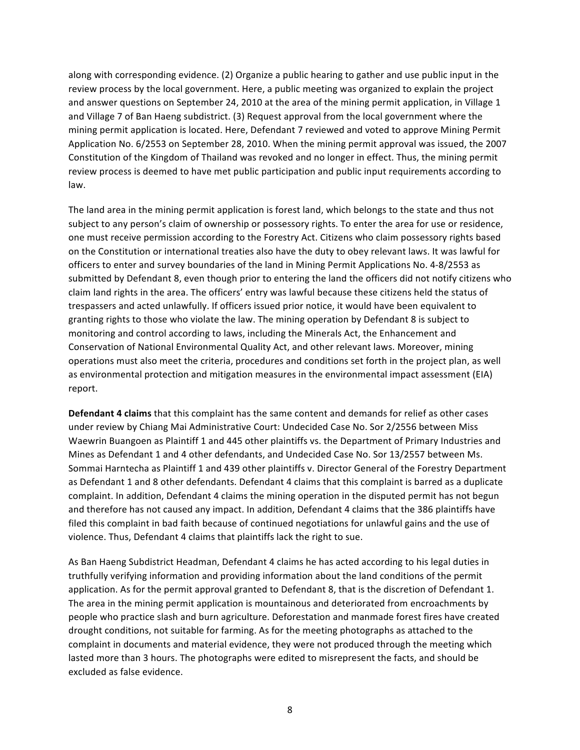along with corresponding evidence. (2) Organize a public hearing to gather and use public input in the review process by the local government. Here, a public meeting was organized to explain the project and answer questions on September 24, 2010 at the area of the mining permit application, in Village 1 and Village 7 of Ban Haeng subdistrict. (3) Request approval from the local government where the mining permit application is located. Here, Defendant 7 reviewed and voted to approve Mining Permit Application No. 6/2553 on September 28, 2010. When the mining permit approval was issued, the 2007 Constitution of the Kingdom of Thailand was revoked and no longer in effect. Thus, the mining permit review process is deemed to have met public participation and public input requirements according to law. 

The land area in the mining permit application is forest land, which belongs to the state and thus not subject to any person's claim of ownership or possessory rights. To enter the area for use or residence, one must receive permission according to the Forestry Act. Citizens who claim possessory rights based on the Constitution or international treaties also have the duty to obey relevant laws. It was lawful for officers to enter and survey boundaries of the land in Mining Permit Applications No. 4-8/2553 as submitted by Defendant 8, even though prior to entering the land the officers did not notify citizens who claim land rights in the area. The officers' entry was lawful because these citizens held the status of trespassers and acted unlawfully. If officers issued prior notice, it would have been equivalent to granting rights to those who violate the law. The mining operation by Defendant 8 is subject to monitoring and control according to laws, including the Minerals Act, the Enhancement and Conservation of National Environmental Quality Act, and other relevant laws. Moreover, mining operations must also meet the criteria, procedures and conditions set forth in the project plan, as well as environmental protection and mitigation measures in the environmental impact assessment (EIA) report.

**Defendant 4 claims** that this complaint has the same content and demands for relief as other cases under review by Chiang Mai Administrative Court: Undecided Case No. Sor 2/2556 between Miss Waewrin Buangoen as Plaintiff 1 and 445 other plaintiffs vs. the Department of Primary Industries and Mines as Defendant 1 and 4 other defendants, and Undecided Case No. Sor 13/2557 between Ms. Sommai Harntecha as Plaintiff 1 and 439 other plaintiffs v. Director General of the Forestry Department as Defendant 1 and 8 other defendants. Defendant 4 claims that this complaint is barred as a duplicate complaint. In addition, Defendant 4 claims the mining operation in the disputed permit has not begun and therefore has not caused any impact. In addition, Defendant 4 claims that the 386 plaintiffs have filed this complaint in bad faith because of continued negotiations for unlawful gains and the use of violence. Thus, Defendant 4 claims that plaintiffs lack the right to sue.

As Ban Haeng Subdistrict Headman, Defendant 4 claims he has acted according to his legal duties in truthfully verifying information and providing information about the land conditions of the permit application. As for the permit approval granted to Defendant 8, that is the discretion of Defendant 1. The area in the mining permit application is mountainous and deteriorated from encroachments by people who practice slash and burn agriculture. Deforestation and manmade forest fires have created drought conditions, not suitable for farming. As for the meeting photographs as attached to the complaint in documents and material evidence, they were not produced through the meeting which lasted more than 3 hours. The photographs were edited to misrepresent the facts, and should be excluded as false evidence.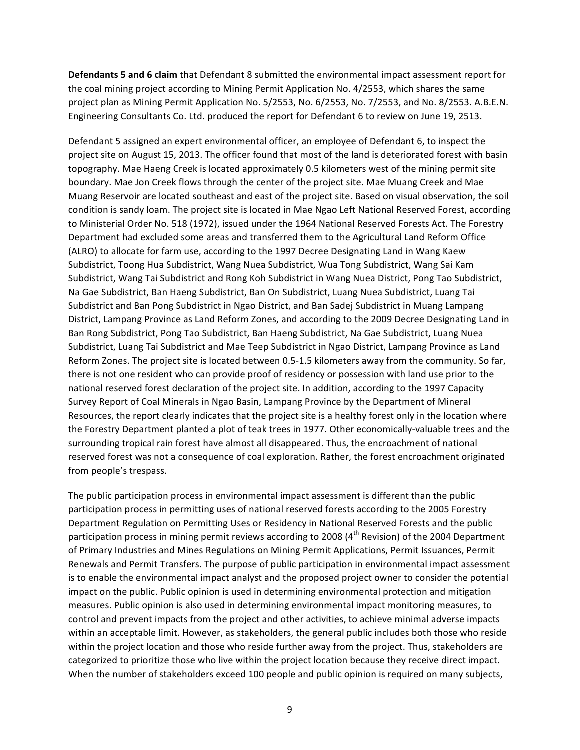**Defendants 5 and 6 claim** that Defendant 8 submitted the environmental impact assessment report for the coal mining project according to Mining Permit Application No. 4/2553, which shares the same project plan as Mining Permit Application No. 5/2553, No. 6/2553, No. 7/2553, and No. 8/2553. A.B.E.N. Engineering Consultants Co. Ltd. produced the report for Defendant 6 to review on June 19, 2513.

Defendant 5 assigned an expert environmental officer, an employee of Defendant 6, to inspect the project site on August 15, 2013. The officer found that most of the land is deteriorated forest with basin topography. Mae Haeng Creek is located approximately 0.5 kilometers west of the mining permit site boundary. Mae Jon Creek flows through the center of the project site. Mae Muang Creek and Mae Muang Reservoir are located southeast and east of the project site. Based on visual observation, the soil condition is sandy loam. The project site is located in Mae Ngao Left National Reserved Forest, according to Ministerial Order No. 518 (1972), issued under the 1964 National Reserved Forests Act. The Forestry Department had excluded some areas and transferred them to the Agricultural Land Reform Office (ALRO) to allocate for farm use, according to the 1997 Decree Designating Land in Wang Kaew Subdistrict, Toong Hua Subdistrict, Wang Nuea Subdistrict, Wua Tong Subdistrict, Wang Sai Kam Subdistrict, Wang Tai Subdistrict and Rong Koh Subdistrict in Wang Nuea District, Pong Tao Subdistrict, Na Gae Subdistrict, Ban Haeng Subdistrict, Ban On Subdistrict, Luang Nuea Subdistrict, Luang Tai Subdistrict and Ban Pong Subdistrict in Ngao District, and Ban Sadej Subdistrict in Muang Lampang District, Lampang Province as Land Reform Zones, and according to the 2009 Decree Designating Land in Ban Rong Subdistrict, Pong Tao Subdistrict, Ban Haeng Subdistrict, Na Gae Subdistrict, Luang Nuea Subdistrict, Luang Tai Subdistrict and Mae Teep Subdistrict in Ngao District, Lampang Province as Land Reform Zones. The project site is located between 0.5-1.5 kilometers away from the community. So far, there is not one resident who can provide proof of residency or possession with land use prior to the national reserved forest declaration of the project site. In addition, according to the 1997 Capacity Survey Report of Coal Minerals in Ngao Basin, Lampang Province by the Department of Mineral Resources, the report clearly indicates that the project site is a healthy forest only in the location where the Forestry Department planted a plot of teak trees in 1977. Other economically-valuable trees and the surrounding tropical rain forest have almost all disappeared. Thus, the encroachment of national reserved forest was not a consequence of coal exploration. Rather, the forest encroachment originated from people's trespass.

The public participation process in environmental impact assessment is different than the public participation process in permitting uses of national reserved forests according to the 2005 Forestry Department Regulation on Permitting Uses or Residency in National Reserved Forests and the public participation process in mining permit reviews according to 2008 ( $4<sup>th</sup>$  Revision) of the 2004 Department of Primary Industries and Mines Regulations on Mining Permit Applications, Permit Issuances, Permit Renewals and Permit Transfers. The purpose of public participation in environmental impact assessment is to enable the environmental impact analyst and the proposed project owner to consider the potential impact on the public. Public opinion is used in determining environmental protection and mitigation measures. Public opinion is also used in determining environmental impact monitoring measures, to control and prevent impacts from the project and other activities, to achieve minimal adverse impacts within an acceptable limit. However, as stakeholders, the general public includes both those who reside within the project location and those who reside further away from the project. Thus, stakeholders are categorized to prioritize those who live within the project location because they receive direct impact. When the number of stakeholders exceed 100 people and public opinion is required on many subjects,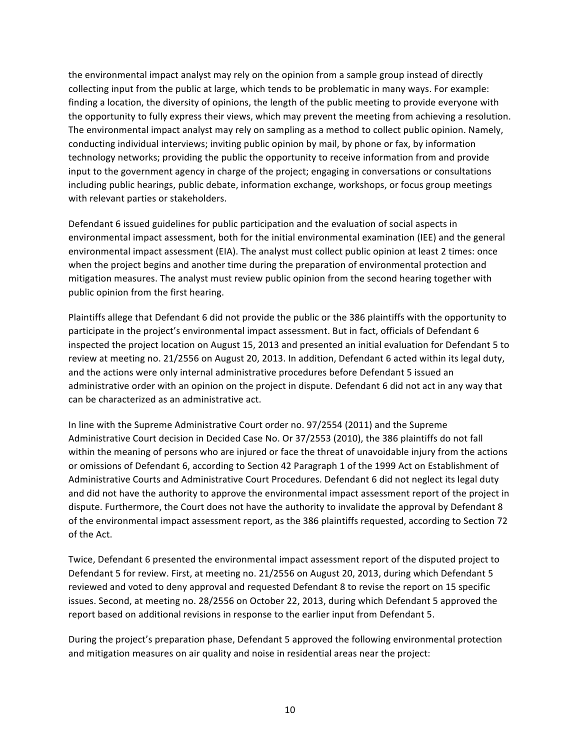the environmental impact analyst may rely on the opinion from a sample group instead of directly collecting input from the public at large, which tends to be problematic in many ways. For example: finding a location, the diversity of opinions, the length of the public meeting to provide everyone with the opportunity to fully express their views, which may prevent the meeting from achieving a resolution. The environmental impact analyst may rely on sampling as a method to collect public opinion. Namely, conducting individual interviews; inviting public opinion by mail, by phone or fax, by information technology networks; providing the public the opportunity to receive information from and provide input to the government agency in charge of the project; engaging in conversations or consultations including public hearings, public debate, information exchange, workshops, or focus group meetings with relevant parties or stakeholders.

Defendant 6 issued guidelines for public participation and the evaluation of social aspects in environmental impact assessment, both for the initial environmental examination (IEE) and the general environmental impact assessment (EIA). The analyst must collect public opinion at least 2 times: once when the project begins and another time during the preparation of environmental protection and mitigation measures. The analyst must review public opinion from the second hearing together with public opinion from the first hearing.

Plaintiffs allege that Defendant 6 did not provide the public or the 386 plaintiffs with the opportunity to participate in the project's environmental impact assessment. But in fact, officials of Defendant 6 inspected the project location on August 15, 2013 and presented an initial evaluation for Defendant 5 to review at meeting no. 21/2556 on August 20, 2013. In addition, Defendant 6 acted within its legal duty, and the actions were only internal administrative procedures before Defendant 5 issued an administrative order with an opinion on the project in dispute. Defendant 6 did not act in any way that can be characterized as an administrative act.

In line with the Supreme Administrative Court order no. 97/2554 (2011) and the Supreme Administrative Court decision in Decided Case No. Or 37/2553 (2010), the 386 plaintiffs do not fall within the meaning of persons who are injured or face the threat of unavoidable injury from the actions or omissions of Defendant 6, according to Section 42 Paragraph 1 of the 1999 Act on Establishment of Administrative Courts and Administrative Court Procedures. Defendant 6 did not neglect its legal duty and did not have the authority to approve the environmental impact assessment report of the project in dispute. Furthermore, the Court does not have the authority to invalidate the approval by Defendant 8 of the environmental impact assessment report, as the 386 plaintiffs requested, according to Section 72 of the Act.

Twice, Defendant 6 presented the environmental impact assessment report of the disputed project to Defendant 5 for review. First, at meeting no. 21/2556 on August 20, 2013, during which Defendant 5 reviewed and voted to deny approval and requested Defendant 8 to revise the report on 15 specific issues. Second, at meeting no. 28/2556 on October 22, 2013, during which Defendant 5 approved the report based on additional revisions in response to the earlier input from Defendant 5.

During the project's preparation phase, Defendant 5 approved the following environmental protection and mitigation measures on air quality and noise in residential areas near the project: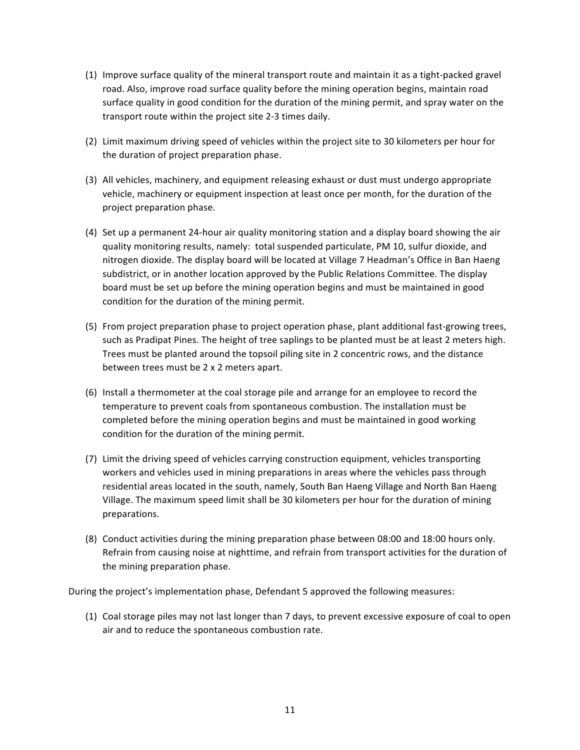- $(1)$  Improve surface quality of the mineral transport route and maintain it as a tight-packed gravel road. Also, improve road surface quality before the mining operation begins, maintain road surface quality in good condition for the duration of the mining permit, and spray water on the transport route within the project site 2-3 times daily.
- (2) Limit maximum driving speed of vehicles within the project site to 30 kilometers per hour for the duration of project preparation phase.
- (3) All vehicles, machinery, and equipment releasing exhaust or dust must undergo appropriate vehicle, machinery or equipment inspection at least once per month, for the duration of the project preparation phase.
- (4) Set up a permanent 24-hour air quality monitoring station and a display board showing the air quality monitoring results, namely: total suspended particulate, PM 10, sulfur dioxide, and nitrogen dioxide. The display board will be located at Village 7 Headman's Office in Ban Haeng subdistrict, or in another location approved by the Public Relations Committee. The display board must be set up before the mining operation begins and must be maintained in good condition for the duration of the mining permit.
- (5) From project preparation phase to project operation phase, plant additional fast-growing trees, such as Pradipat Pines. The height of tree saplings to be planted must be at least 2 meters high. Trees must be planted around the topsoil piling site in 2 concentric rows, and the distance between trees must be 2 x 2 meters apart.
- (6) Install a thermometer at the coal storage pile and arrange for an employee to record the temperature to prevent coals from spontaneous combustion. The installation must be completed before the mining operation begins and must be maintained in good working condition for the duration of the mining permit.
- (7) Limit the driving speed of vehicles carrying construction equipment, vehicles transporting workers and vehicles used in mining preparations in areas where the vehicles pass through residential areas located in the south, namely, South Ban Haeng Village and North Ban Haeng Village. The maximum speed limit shall be 30 kilometers per hour for the duration of mining preparations.
- (8) Conduct activities during the mining preparation phase between 08:00 and 18:00 hours only. Refrain from causing noise at nighttime, and refrain from transport activities for the duration of the mining preparation phase.

During the project's implementation phase, Defendant 5 approved the following measures:

(1) Coal storage piles may not last longer than 7 days, to prevent excessive exposure of coal to open air and to reduce the spontaneous combustion rate.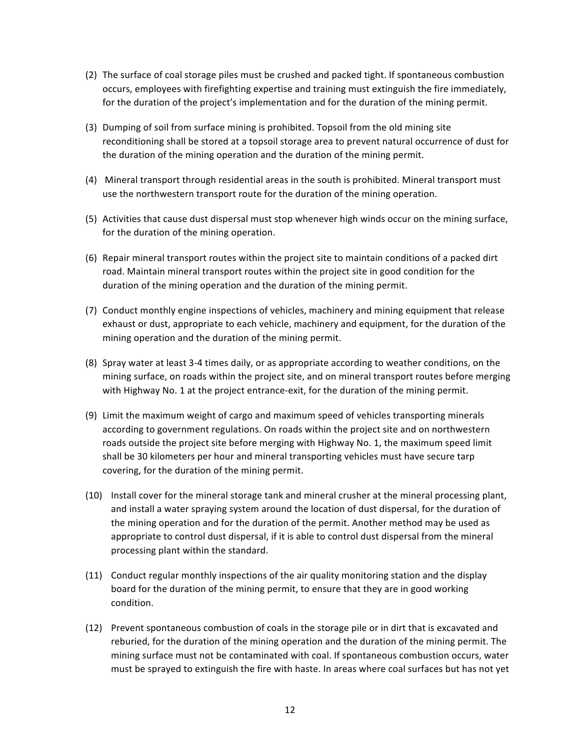- (2) The surface of coal storage piles must be crushed and packed tight. If spontaneous combustion occurs, employees with firefighting expertise and training must extinguish the fire immediately, for the duration of the project's implementation and for the duration of the mining permit.
- (3) Dumping of soil from surface mining is prohibited. Topsoil from the old mining site reconditioning shall be stored at a topsoil storage area to prevent natural occurrence of dust for the duration of the mining operation and the duration of the mining permit.
- (4) Mineral transport through residential areas in the south is prohibited. Mineral transport must use the northwestern transport route for the duration of the mining operation.
- (5) Activities that cause dust dispersal must stop whenever high winds occur on the mining surface, for the duration of the mining operation.
- (6) Repair mineral transport routes within the project site to maintain conditions of a packed dirt road. Maintain mineral transport routes within the project site in good condition for the duration of the mining operation and the duration of the mining permit.
- (7) Conduct monthly engine inspections of vehicles, machinery and mining equipment that release exhaust or dust, appropriate to each vehicle, machinery and equipment, for the duration of the mining operation and the duration of the mining permit.
- (8) Spray water at least 3-4 times daily, or as appropriate according to weather conditions, on the mining surface, on roads within the project site, and on mineral transport routes before merging with Highway No. 1 at the project entrance-exit, for the duration of the mining permit.
- (9) Limit the maximum weight of cargo and maximum speed of vehicles transporting minerals according to government regulations. On roads within the project site and on northwestern roads outside the project site before merging with Highway No. 1, the maximum speed limit shall be 30 kilometers per hour and mineral transporting vehicles must have secure tarp covering, for the duration of the mining permit.
- (10) Install cover for the mineral storage tank and mineral crusher at the mineral processing plant, and install a water spraying system around the location of dust dispersal, for the duration of the mining operation and for the duration of the permit. Another method may be used as appropriate to control dust dispersal, if it is able to control dust dispersal from the mineral processing plant within the standard.
- (11) Conduct regular monthly inspections of the air quality monitoring station and the display board for the duration of the mining permit, to ensure that they are in good working condition.
- (12) Prevent spontaneous combustion of coals in the storage pile or in dirt that is excavated and reburied, for the duration of the mining operation and the duration of the mining permit. The mining surface must not be contaminated with coal. If spontaneous combustion occurs, water must be sprayed to extinguish the fire with haste. In areas where coal surfaces but has not yet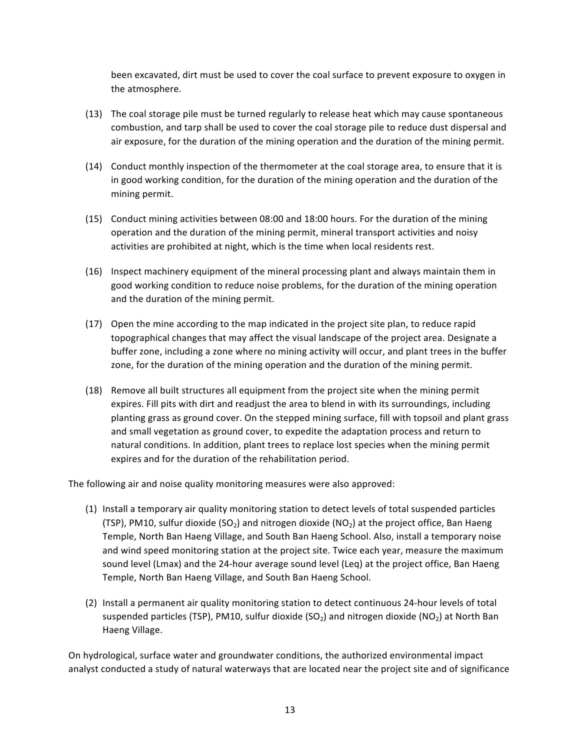been excavated, dirt must be used to cover the coal surface to prevent exposure to oxygen in the atmosphere.

- (13) The coal storage pile must be turned regularly to release heat which may cause spontaneous combustion, and tarp shall be used to cover the coal storage pile to reduce dust dispersal and air exposure, for the duration of the mining operation and the duration of the mining permit.
- (14) Conduct monthly inspection of the thermometer at the coal storage area, to ensure that it is in good working condition, for the duration of the mining operation and the duration of the mining permit.
- (15) Conduct mining activities between 08:00 and 18:00 hours. For the duration of the mining operation and the duration of the mining permit, mineral transport activities and noisy activities are prohibited at night, which is the time when local residents rest.
- (16) Inspect machinery equipment of the mineral processing plant and always maintain them in good working condition to reduce noise problems, for the duration of the mining operation and the duration of the mining permit.
- $(17)$  Open the mine according to the map indicated in the project site plan, to reduce rapid topographical changes that may affect the visual landscape of the project area. Designate a buffer zone, including a zone where no mining activity will occur, and plant trees in the buffer zone, for the duration of the mining operation and the duration of the mining permit.
- (18) Remove all built structures all equipment from the project site when the mining permit expires. Fill pits with dirt and readjust the area to blend in with its surroundings, including planting grass as ground cover. On the stepped mining surface, fill with topsoil and plant grass and small vegetation as ground cover, to expedite the adaptation process and return to natural conditions. In addition, plant trees to replace lost species when the mining permit expires and for the duration of the rehabilitation period.

The following air and noise quality monitoring measures were also approved:

- (1) Install a temporary air quality monitoring station to detect levels of total suspended particles (TSP), PM10, sulfur dioxide  $(SO<sub>2</sub>)$  and nitrogen dioxide  $(NO<sub>2</sub>)$  at the project office, Ban Haeng Temple, North Ban Haeng Village, and South Ban Haeng School. Also, install a temporary noise and wind speed monitoring station at the project site. Twice each year, measure the maximum sound level (Lmax) and the 24-hour average sound level (Leq) at the project office, Ban Haeng Temple, North Ban Haeng Village, and South Ban Haeng School.
- (2) Install a permanent air quality monitoring station to detect continuous 24-hour levels of total suspended particles (TSP), PM10, sulfur dioxide  $(SO<sub>2</sub>)$  and nitrogen dioxide  $(NO<sub>2</sub>)$  at North Ban Haeng Village.

On hydrological, surface water and groundwater conditions, the authorized environmental impact analyst conducted a study of natural waterways that are located near the project site and of significance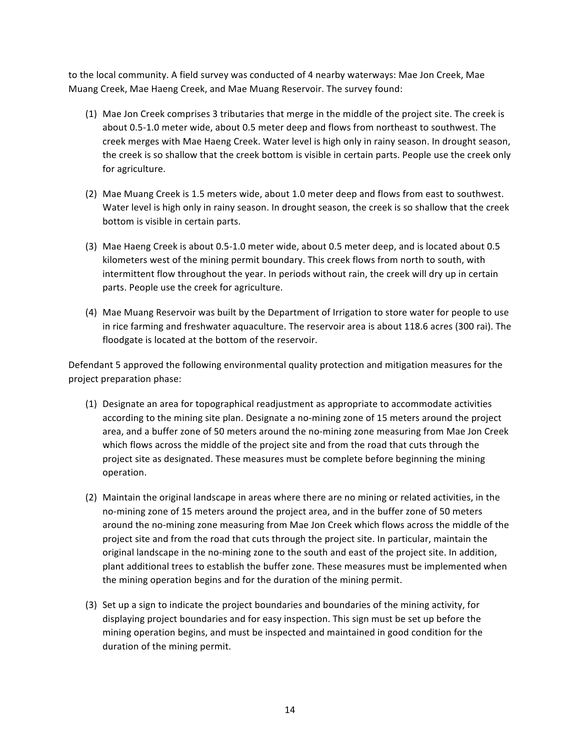to the local community. A field survey was conducted of 4 nearby waterways: Mae Jon Creek, Mae Muang Creek, Mae Haeng Creek, and Mae Muang Reservoir. The survey found:

- (1) Mae Jon Creek comprises 3 tributaries that merge in the middle of the project site. The creek is about 0.5-1.0 meter wide, about 0.5 meter deep and flows from northeast to southwest. The creek merges with Mae Haeng Creek. Water level is high only in rainy season. In drought season, the creek is so shallow that the creek bottom is visible in certain parts. People use the creek only for agriculture.
- (2) Mae Muang Creek is 1.5 meters wide, about 1.0 meter deep and flows from east to southwest. Water level is high only in rainy season. In drought season, the creek is so shallow that the creek bottom is visible in certain parts.
- (3) Mae Haeng Creek is about 0.5-1.0 meter wide, about 0.5 meter deep, and is located about 0.5 kilometers west of the mining permit boundary. This creek flows from north to south, with intermittent flow throughout the year. In periods without rain, the creek will dry up in certain parts. People use the creek for agriculture.
- (4) Mae Muang Reservoir was built by the Department of Irrigation to store water for people to use in rice farming and freshwater aquaculture. The reservoir area is about 118.6 acres (300 rai). The floodgate is located at the bottom of the reservoir.

Defendant 5 approved the following environmental quality protection and mitigation measures for the project preparation phase:

- (1) Designate an area for topographical readjustment as appropriate to accommodate activities according to the mining site plan. Designate a no-mining zone of 15 meters around the project area, and a buffer zone of 50 meters around the no-mining zone measuring from Mae Jon Creek which flows across the middle of the project site and from the road that cuts through the project site as designated. These measures must be complete before beginning the mining operation.
- (2) Maintain the original landscape in areas where there are no mining or related activities, in the no-mining zone of 15 meters around the project area, and in the buffer zone of 50 meters around the no-mining zone measuring from Mae Jon Creek which flows across the middle of the project site and from the road that cuts through the project site. In particular, maintain the original landscape in the no-mining zone to the south and east of the project site. In addition, plant additional trees to establish the buffer zone. These measures must be implemented when the mining operation begins and for the duration of the mining permit.
- (3) Set up a sign to indicate the project boundaries and boundaries of the mining activity, for displaying project boundaries and for easy inspection. This sign must be set up before the mining operation begins, and must be inspected and maintained in good condition for the duration of the mining permit.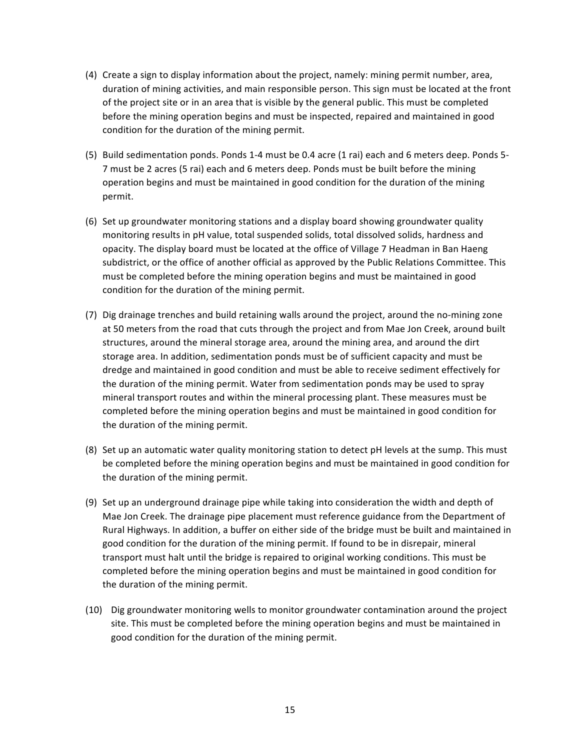- (4) Create a sign to display information about the project, namely: mining permit number, area, duration of mining activities, and main responsible person. This sign must be located at the front of the project site or in an area that is visible by the general public. This must be completed before the mining operation begins and must be inspected, repaired and maintained in good condition for the duration of the mining permit.
- (5) Build sedimentation ponds. Ponds 1-4 must be 0.4 acre (1 rai) each and 6 meters deep. Ponds 5-7 must be 2 acres (5 rai) each and 6 meters deep. Ponds must be built before the mining operation begins and must be maintained in good condition for the duration of the mining permit.
- (6) Set up groundwater monitoring stations and a display board showing groundwater quality monitoring results in pH value, total suspended solids, total dissolved solids, hardness and opacity. The display board must be located at the office of Village 7 Headman in Ban Haeng subdistrict, or the office of another official as approved by the Public Relations Committee. This must be completed before the mining operation begins and must be maintained in good condition for the duration of the mining permit.
- (7) Dig drainage trenches and build retaining walls around the project, around the no-mining zone at 50 meters from the road that cuts through the project and from Mae Jon Creek, around built structures, around the mineral storage area, around the mining area, and around the dirt storage area. In addition, sedimentation ponds must be of sufficient capacity and must be dredge and maintained in good condition and must be able to receive sediment effectively for the duration of the mining permit. Water from sedimentation ponds may be used to spray mineral transport routes and within the mineral processing plant. These measures must be completed before the mining operation begins and must be maintained in good condition for the duration of the mining permit.
- (8) Set up an automatic water quality monitoring station to detect pH levels at the sump. This must be completed before the mining operation begins and must be maintained in good condition for the duration of the mining permit.
- (9) Set up an underground drainage pipe while taking into consideration the width and depth of Mae Jon Creek. The drainage pipe placement must reference guidance from the Department of Rural Highways. In addition, a buffer on either side of the bridge must be built and maintained in good condition for the duration of the mining permit. If found to be in disrepair, mineral transport must halt until the bridge is repaired to original working conditions. This must be completed before the mining operation begins and must be maintained in good condition for the duration of the mining permit.
- (10) Dig groundwater monitoring wells to monitor groundwater contamination around the project site. This must be completed before the mining operation begins and must be maintained in good condition for the duration of the mining permit.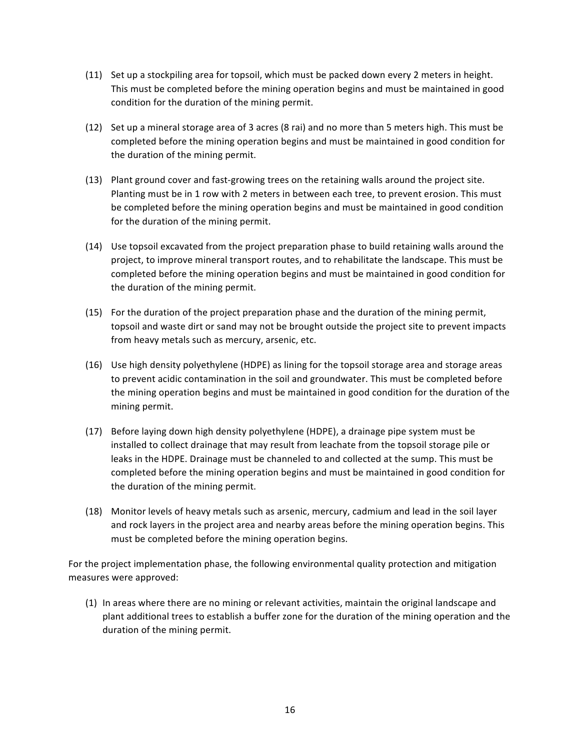- $(11)$  Set up a stockpiling area for topsoil, which must be packed down every 2 meters in height. This must be completed before the mining operation begins and must be maintained in good condition for the duration of the mining permit.
- (12) Set up a mineral storage area of 3 acres (8 rai) and no more than 5 meters high. This must be completed before the mining operation begins and must be maintained in good condition for the duration of the mining permit.
- (13) Plant ground cover and fast-growing trees on the retaining walls around the project site. Planting must be in 1 row with 2 meters in between each tree, to prevent erosion. This must be completed before the mining operation begins and must be maintained in good condition for the duration of the mining permit.
- (14) Use topsoil excavated from the project preparation phase to build retaining walls around the project, to improve mineral transport routes, and to rehabilitate the landscape. This must be completed before the mining operation begins and must be maintained in good condition for the duration of the mining permit.
- (15) For the duration of the project preparation phase and the duration of the mining permit, topsoil and waste dirt or sand may not be brought outside the project site to prevent impacts from heavy metals such as mercury, arsenic, etc.
- (16) Use high density polyethylene (HDPE) as lining for the topsoil storage area and storage areas to prevent acidic contamination in the soil and groundwater. This must be completed before the mining operation begins and must be maintained in good condition for the duration of the mining permit.
- (17) Before laying down high density polyethylene (HDPE), a drainage pipe system must be installed to collect drainage that may result from leachate from the topsoil storage pile or leaks in the HDPE. Drainage must be channeled to and collected at the sump. This must be completed before the mining operation begins and must be maintained in good condition for the duration of the mining permit.
- (18) Monitor levels of heavy metals such as arsenic, mercury, cadmium and lead in the soil layer and rock layers in the project area and nearby areas before the mining operation begins. This must be completed before the mining operation begins.

For the project implementation phase, the following environmental quality protection and mitigation measures were approved:

(1) In areas where there are no mining or relevant activities, maintain the original landscape and plant additional trees to establish a buffer zone for the duration of the mining operation and the duration of the mining permit.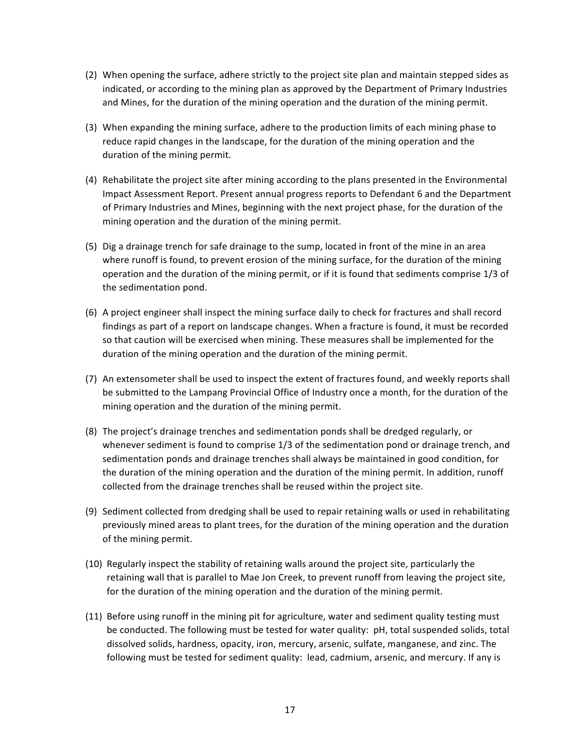- (2) When opening the surface, adhere strictly to the project site plan and maintain stepped sides as indicated, or according to the mining plan as approved by the Department of Primary Industries and Mines, for the duration of the mining operation and the duration of the mining permit.
- (3) When expanding the mining surface, adhere to the production limits of each mining phase to reduce rapid changes in the landscape, for the duration of the mining operation and the duration of the mining permit.
- (4) Rehabilitate the project site after mining according to the plans presented in the Environmental Impact Assessment Report. Present annual progress reports to Defendant 6 and the Department of Primary Industries and Mines, beginning with the next project phase, for the duration of the mining operation and the duration of the mining permit.
- (5) Dig a drainage trench for safe drainage to the sump, located in front of the mine in an area where runoff is found, to prevent erosion of the mining surface, for the duration of the mining operation and the duration of the mining permit, or if it is found that sediments comprise 1/3 of the sedimentation pond.
- (6) A project engineer shall inspect the mining surface daily to check for fractures and shall record findings as part of a report on landscape changes. When a fracture is found, it must be recorded so that caution will be exercised when mining. These measures shall be implemented for the duration of the mining operation and the duration of the mining permit.
- (7) An extensometer shall be used to inspect the extent of fractures found, and weekly reports shall be submitted to the Lampang Provincial Office of Industry once a month, for the duration of the mining operation and the duration of the mining permit.
- (8) The project's drainage trenches and sedimentation ponds shall be dredged regularly, or whenever sediment is found to comprise  $1/3$  of the sedimentation pond or drainage trench, and sedimentation ponds and drainage trenches shall always be maintained in good condition, for the duration of the mining operation and the duration of the mining permit. In addition, runoff collected from the drainage trenches shall be reused within the project site.
- (9) Sediment collected from dredging shall be used to repair retaining walls or used in rehabilitating previously mined areas to plant trees, for the duration of the mining operation and the duration of the mining permit.
- (10) Regularly inspect the stability of retaining walls around the project site, particularly the retaining wall that is parallel to Mae Jon Creek, to prevent runoff from leaving the project site, for the duration of the mining operation and the duration of the mining permit.
- (11) Before using runoff in the mining pit for agriculture, water and sediment quality testing must be conducted. The following must be tested for water quality: pH, total suspended solids, total dissolved solids, hardness, opacity, iron, mercury, arsenic, sulfate, manganese, and zinc. The following must be tested for sediment quality: lead, cadmium, arsenic, and mercury. If any is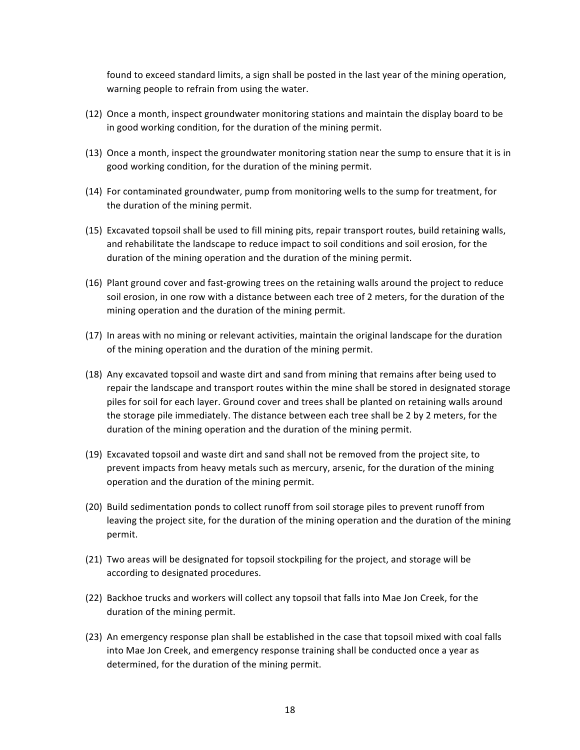found to exceed standard limits, a sign shall be posted in the last year of the mining operation, warning people to refrain from using the water.

- (12) Once a month, inspect groundwater monitoring stations and maintain the display board to be in good working condition, for the duration of the mining permit.
- (13) Once a month, inspect the groundwater monitoring station near the sump to ensure that it is in good working condition, for the duration of the mining permit.
- (14) For contaminated groundwater, pump from monitoring wells to the sump for treatment, for the duration of the mining permit.
- (15) Excavated topsoil shall be used to fill mining pits, repair transport routes, build retaining walls, and rehabilitate the landscape to reduce impact to soil conditions and soil erosion, for the duration of the mining operation and the duration of the mining permit.
- (16) Plant ground cover and fast-growing trees on the retaining walls around the project to reduce soil erosion, in one row with a distance between each tree of 2 meters, for the duration of the mining operation and the duration of the mining permit.
- (17) In areas with no mining or relevant activities, maintain the original landscape for the duration of the mining operation and the duration of the mining permit.
- (18) Any excavated topsoil and waste dirt and sand from mining that remains after being used to repair the landscape and transport routes within the mine shall be stored in designated storage piles for soil for each layer. Ground cover and trees shall be planted on retaining walls around the storage pile immediately. The distance between each tree shall be 2 by 2 meters, for the duration of the mining operation and the duration of the mining permit.
- (19) Excavated topsoil and waste dirt and sand shall not be removed from the project site, to prevent impacts from heavy metals such as mercury, arsenic, for the duration of the mining operation and the duration of the mining permit.
- (20) Build sedimentation ponds to collect runoff from soil storage piles to prevent runoff from leaving the project site, for the duration of the mining operation and the duration of the mining permit.
- (21) Two areas will be designated for topsoil stockpiling for the project, and storage will be according to designated procedures.
- (22) Backhoe trucks and workers will collect any topsoil that falls into Mae Jon Creek, for the duration of the mining permit.
- (23) An emergency response plan shall be established in the case that topsoil mixed with coal falls into Mae Jon Creek, and emergency response training shall be conducted once a year as determined, for the duration of the mining permit.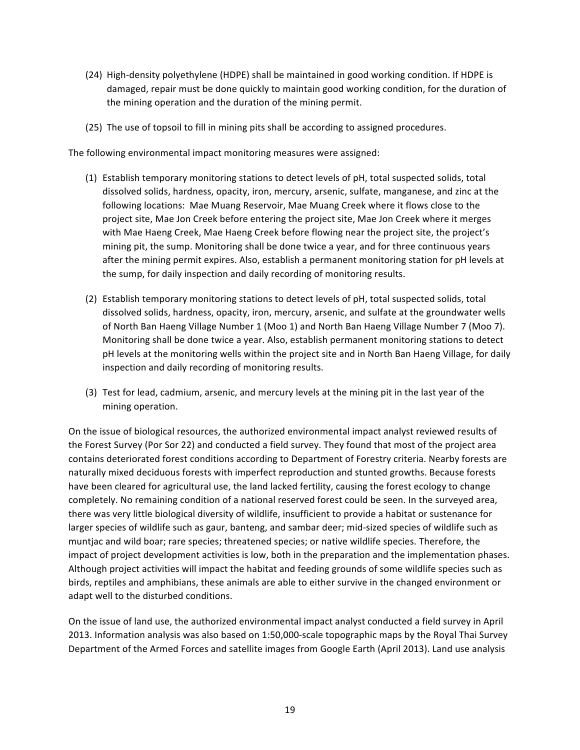- (24) High-density polyethylene (HDPE) shall be maintained in good working condition. If HDPE is damaged, repair must be done quickly to maintain good working condition, for the duration of the mining operation and the duration of the mining permit.
- (25) The use of topsoil to fill in mining pits shall be according to assigned procedures.

The following environmental impact monitoring measures were assigned:

- (1) Establish temporary monitoring stations to detect levels of pH, total suspected solids, total dissolved solids, hardness, opacity, iron, mercury, arsenic, sulfate, manganese, and zinc at the following locations: Mae Muang Reservoir, Mae Muang Creek where it flows close to the project site, Mae Jon Creek before entering the project site, Mae Jon Creek where it merges with Mae Haeng Creek, Mae Haeng Creek before flowing near the project site, the project's mining pit, the sump. Monitoring shall be done twice a year, and for three continuous years after the mining permit expires. Also, establish a permanent monitoring station for pH levels at the sump, for daily inspection and daily recording of monitoring results.
- (2) Establish temporary monitoring stations to detect levels of pH, total suspected solids, total dissolved solids, hardness, opacity, iron, mercury, arsenic, and sulfate at the groundwater wells of North Ban Haeng Village Number 1 (Moo 1) and North Ban Haeng Village Number 7 (Moo 7). Monitoring shall be done twice a year. Also, establish permanent monitoring stations to detect pH levels at the monitoring wells within the project site and in North Ban Haeng Village, for daily inspection and daily recording of monitoring results.
- (3) Test for lead, cadmium, arsenic, and mercury levels at the mining pit in the last year of the mining operation.

On the issue of biological resources, the authorized environmental impact analyst reviewed results of the Forest Survey (Por Sor 22) and conducted a field survey. They found that most of the project area contains deteriorated forest conditions according to Department of Forestry criteria. Nearby forests are naturally mixed deciduous forests with imperfect reproduction and stunted growths. Because forests have been cleared for agricultural use, the land lacked fertility, causing the forest ecology to change completely. No remaining condition of a national reserved forest could be seen. In the surveyed area, there was very little biological diversity of wildlife, insufficient to provide a habitat or sustenance for larger species of wildlife such as gaur, banteng, and sambar deer; mid-sized species of wildlife such as muntjac and wild boar; rare species; threatened species; or native wildlife species. Therefore, the impact of project development activities is low, both in the preparation and the implementation phases. Although project activities will impact the habitat and feeding grounds of some wildlife species such as birds, reptiles and amphibians, these animals are able to either survive in the changed environment or adapt well to the disturbed conditions.

On the issue of land use, the authorized environmental impact analyst conducted a field survey in April 2013. Information analysis was also based on 1:50,000-scale topographic maps by the Royal Thai Survey Department of the Armed Forces and satellite images from Google Earth (April 2013). Land use analysis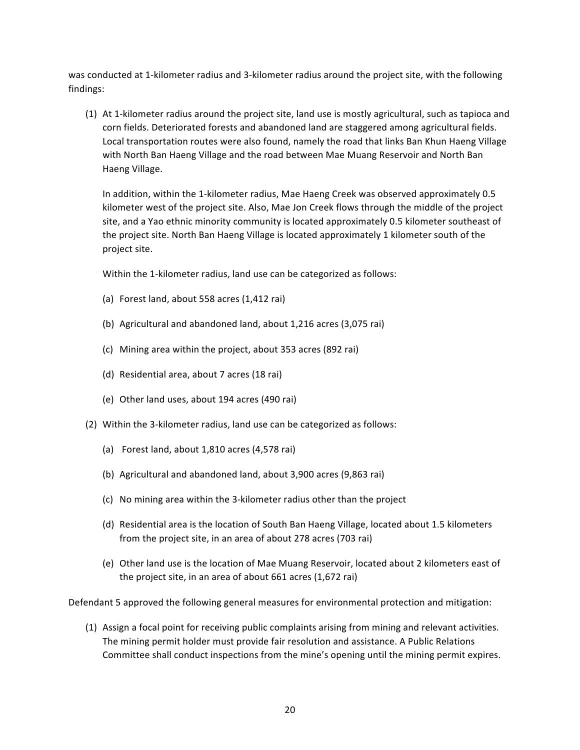was conducted at 1-kilometer radius and 3-kilometer radius around the project site, with the following findings:

(1) At 1-kilometer radius around the project site, land use is mostly agricultural, such as tapioca and corn fields. Deteriorated forests and abandoned land are staggered among agricultural fields. Local transportation routes were also found, namely the road that links Ban Khun Haeng Village with North Ban Haeng Village and the road between Mae Muang Reservoir and North Ban Haeng Village. 

In addition, within the 1-kilometer radius, Mae Haeng Creek was observed approximately 0.5 kilometer west of the project site. Also, Mae Jon Creek flows through the middle of the project site, and a Yao ethnic minority community is located approximately 0.5 kilometer southeast of the project site. North Ban Haeng Village is located approximately 1 kilometer south of the project site.

Within the 1-kilometer radius, land use can be categorized as follows:

- (a) Forest land, about 558 acres (1,412 rai)
- (b) Agricultural and abandoned land, about  $1,216$  acres  $(3,075 \text{ rai})$
- (c) Mining area within the project, about 353 acres (892 rai)
- (d) Residential area, about 7 acres (18 rai)
- (e) Other land uses, about 194 acres (490 rai)
- (2) Within the 3-kilometer radius, land use can be categorized as follows:
	- (a) Forest land, about  $1,810$  acres  $(4,578 \text{ rai})$
	- (b) Agricultural and abandoned land, about 3,900 acres (9,863 rai)
	- (c) No mining area within the 3-kilometer radius other than the project
	- (d) Residential area is the location of South Ban Haeng Village, located about 1.5 kilometers from the project site, in an area of about 278 acres (703 rai)
	- (e) Other land use is the location of Mae Muang Reservoir, located about 2 kilometers east of the project site, in an area of about  $661$  acres  $(1,672 \text{ rai})$

Defendant 5 approved the following general measures for environmental protection and mitigation:

(1) Assign a focal point for receiving public complaints arising from mining and relevant activities. The mining permit holder must provide fair resolution and assistance. A Public Relations Committee shall conduct inspections from the mine's opening until the mining permit expires.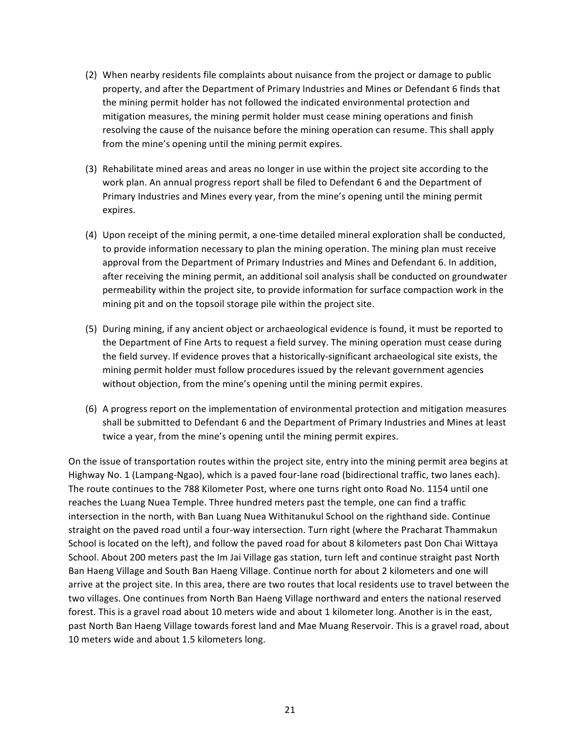- (2) When nearby residents file complaints about nuisance from the project or damage to public property, and after the Department of Primary Industries and Mines or Defendant 6 finds that the mining permit holder has not followed the indicated environmental protection and mitigation measures, the mining permit holder must cease mining operations and finish resolving the cause of the nuisance before the mining operation can resume. This shall apply from the mine's opening until the mining permit expires.
- (3) Rehabilitate mined areas and areas no longer in use within the project site according to the work plan. An annual progress report shall be filed to Defendant 6 and the Department of Primary Industries and Mines every year, from the mine's opening until the mining permit expires.
- (4) Upon receipt of the mining permit, a one-time detailed mineral exploration shall be conducted, to provide information necessary to plan the mining operation. The mining plan must receive approval from the Department of Primary Industries and Mines and Defendant 6. In addition, after receiving the mining permit, an additional soil analysis shall be conducted on groundwater permeability within the project site, to provide information for surface compaction work in the mining pit and on the topsoil storage pile within the project site.
- (5) During mining, if any ancient object or archaeological evidence is found, it must be reported to the Department of Fine Arts to request a field survey. The mining operation must cease during the field survey. If evidence proves that a historically-significant archaeological site exists, the mining permit holder must follow procedures issued by the relevant government agencies without objection, from the mine's opening until the mining permit expires.
- (6) A progress report on the implementation of environmental protection and mitigation measures shall be submitted to Defendant 6 and the Department of Primary Industries and Mines at least twice a year, from the mine's opening until the mining permit expires.

On the issue of transportation routes within the project site, entry into the mining permit area begins at Highway No. 1 (Lampang-Ngao), which is a paved four-lane road (bidirectional traffic, two lanes each). The route continues to the 788 Kilometer Post, where one turns right onto Road No. 1154 until one reaches the Luang Nuea Temple. Three hundred meters past the temple, one can find a traffic intersection in the north, with Ban Luang Nuea Withitanukul School on the righthand side. Continue straight on the paved road until a four-way intersection. Turn right (where the Pracharat Thammakun School is located on the left), and follow the paved road for about 8 kilometers past Don Chai Wittaya School. About 200 meters past the Im Jai Village gas station, turn left and continue straight past North Ban Haeng Village and South Ban Haeng Village. Continue north for about 2 kilometers and one will arrive at the project site. In this area, there are two routes that local residents use to travel between the two villages. One continues from North Ban Haeng Village northward and enters the national reserved forest. This is a gravel road about 10 meters wide and about 1 kilometer long. Another is in the east, past North Ban Haeng Village towards forest land and Mae Muang Reservoir. This is a gravel road, about 10 meters wide and about 1.5 kilometers long.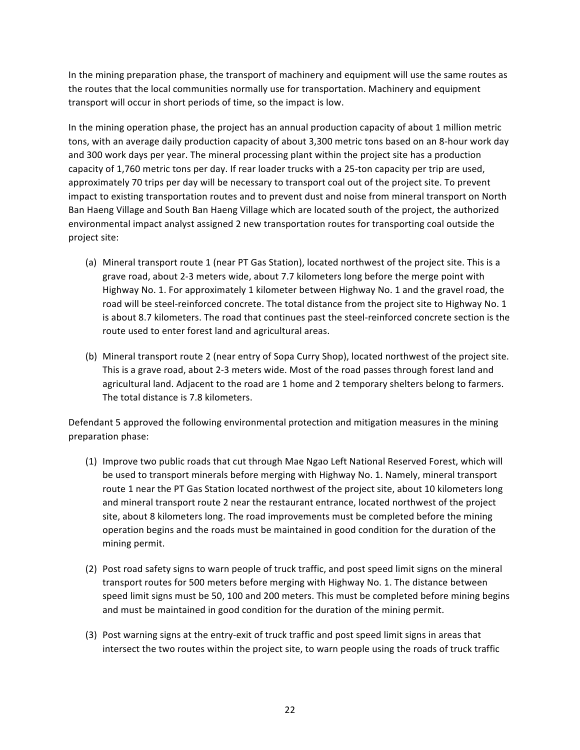In the mining preparation phase, the transport of machinery and equipment will use the same routes as the routes that the local communities normally use for transportation. Machinery and equipment transport will occur in short periods of time, so the impact is low.

In the mining operation phase, the project has an annual production capacity of about 1 million metric tons, with an average daily production capacity of about 3,300 metric tons based on an 8-hour work day and 300 work days per year. The mineral processing plant within the project site has a production capacity of 1,760 metric tons per day. If rear loader trucks with a 25-ton capacity per trip are used, approximately 70 trips per day will be necessary to transport coal out of the project site. To prevent impact to existing transportation routes and to prevent dust and noise from mineral transport on North Ban Haeng Village and South Ban Haeng Village which are located south of the project, the authorized environmental impact analyst assigned 2 new transportation routes for transporting coal outside the project site:

- (a) Mineral transport route 1 (near PT Gas Station), located northwest of the project site. This is a grave road, about 2-3 meters wide, about 7.7 kilometers long before the merge point with Highway No. 1. For approximately 1 kilometer between Highway No. 1 and the gravel road, the road will be steel-reinforced concrete. The total distance from the project site to Highway No. 1 is about 8.7 kilometers. The road that continues past the steel-reinforced concrete section is the route used to enter forest land and agricultural areas.
- (b) Mineral transport route 2 (near entry of Sopa Curry Shop), located northwest of the project site. This is a grave road, about 2-3 meters wide. Most of the road passes through forest land and agricultural land. Adjacent to the road are 1 home and 2 temporary shelters belong to farmers. The total distance is 7.8 kilometers.

Defendant 5 approved the following environmental protection and mitigation measures in the mining preparation phase:

- (1) Improve two public roads that cut through Mae Ngao Left National Reserved Forest, which will be used to transport minerals before merging with Highway No. 1. Namely, mineral transport route 1 near the PT Gas Station located northwest of the project site, about 10 kilometers long and mineral transport route 2 near the restaurant entrance, located northwest of the project site, about 8 kilometers long. The road improvements must be completed before the mining operation begins and the roads must be maintained in good condition for the duration of the mining permit.
- (2) Post road safety signs to warn people of truck traffic, and post speed limit signs on the mineral transport routes for 500 meters before merging with Highway No. 1. The distance between speed limit signs must be 50, 100 and 200 meters. This must be completed before mining begins and must be maintained in good condition for the duration of the mining permit.
- (3) Post warning signs at the entry-exit of truck traffic and post speed limit signs in areas that intersect the two routes within the project site, to warn people using the roads of truck traffic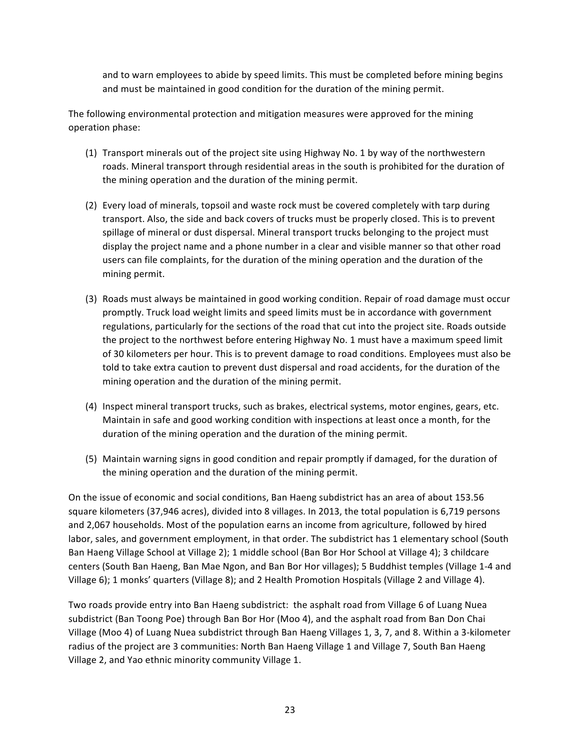and to warn employees to abide by speed limits. This must be completed before mining begins and must be maintained in good condition for the duration of the mining permit.

The following environmental protection and mitigation measures were approved for the mining operation phase:

- (1) Transport minerals out of the project site using Highway No. 1 by way of the northwestern roads. Mineral transport through residential areas in the south is prohibited for the duration of the mining operation and the duration of the mining permit.
- (2) Every load of minerals, topsoil and waste rock must be covered completely with tarp during transport. Also, the side and back covers of trucks must be properly closed. This is to prevent spillage of mineral or dust dispersal. Mineral transport trucks belonging to the project must display the project name and a phone number in a clear and visible manner so that other road users can file complaints, for the duration of the mining operation and the duration of the mining permit.
- (3) Roads must always be maintained in good working condition. Repair of road damage must occur promptly. Truck load weight limits and speed limits must be in accordance with government regulations, particularly for the sections of the road that cut into the project site. Roads outside the project to the northwest before entering Highway No. 1 must have a maximum speed limit of 30 kilometers per hour. This is to prevent damage to road conditions. Employees must also be told to take extra caution to prevent dust dispersal and road accidents, for the duration of the mining operation and the duration of the mining permit.
- (4) Inspect mineral transport trucks, such as brakes, electrical systems, motor engines, gears, etc. Maintain in safe and good working condition with inspections at least once a month, for the duration of the mining operation and the duration of the mining permit.
- (5) Maintain warning signs in good condition and repair promptly if damaged, for the duration of the mining operation and the duration of the mining permit.

On the issue of economic and social conditions, Ban Haeng subdistrict has an area of about 153.56 square kilometers (37,946 acres), divided into 8 villages. In 2013, the total population is 6,719 persons and 2,067 households. Most of the population earns an income from agriculture, followed by hired labor, sales, and government employment, in that order. The subdistrict has 1 elementary school (South Ban Haeng Village School at Village 2); 1 middle school (Ban Bor Hor School at Village 4); 3 childcare centers (South Ban Haeng, Ban Mae Ngon, and Ban Bor Hor villages); 5 Buddhist temples (Village 1-4 and Village 6); 1 monks' quarters (Village 8); and 2 Health Promotion Hospitals (Village 2 and Village 4).

Two roads provide entry into Ban Haeng subdistrict: the asphalt road from Village 6 of Luang Nuea subdistrict (Ban Toong Poe) through Ban Bor Hor (Moo 4), and the asphalt road from Ban Don Chai Village (Moo 4) of Luang Nuea subdistrict through Ban Haeng Villages 1, 3, 7, and 8. Within a 3-kilometer radius of the project are 3 communities: North Ban Haeng Village 1 and Village 7, South Ban Haeng Village 2, and Yao ethnic minority community Village 1.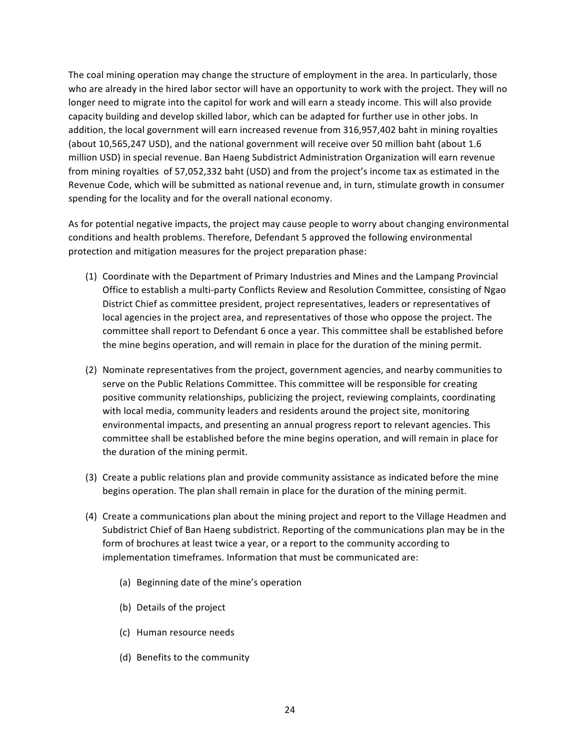The coal mining operation may change the structure of employment in the area. In particularly, those who are already in the hired labor sector will have an opportunity to work with the project. They will no longer need to migrate into the capitol for work and will earn a steady income. This will also provide capacity building and develop skilled labor, which can be adapted for further use in other jobs. In addition, the local government will earn increased revenue from 316,957,402 baht in mining royalties (about 10,565,247 USD), and the national government will receive over 50 million baht (about 1.6 million USD) in special revenue. Ban Haeng Subdistrict Administration Organization will earn revenue from mining royalties of 57,052,332 baht (USD) and from the project's income tax as estimated in the Revenue Code, which will be submitted as national revenue and, in turn, stimulate growth in consumer spending for the locality and for the overall national economy.

As for potential negative impacts, the project may cause people to worry about changing environmental conditions and health problems. Therefore, Defendant 5 approved the following environmental protection and mitigation measures for the project preparation phase:

- (1) Coordinate with the Department of Primary Industries and Mines and the Lampang Provincial Office to establish a multi-party Conflicts Review and Resolution Committee, consisting of Ngao District Chief as committee president, project representatives, leaders or representatives of local agencies in the project area, and representatives of those who oppose the project. The committee shall report to Defendant 6 once a year. This committee shall be established before the mine begins operation, and will remain in place for the duration of the mining permit.
- (2) Nominate representatives from the project, government agencies, and nearby communities to serve on the Public Relations Committee. This committee will be responsible for creating positive community relationships, publicizing the project, reviewing complaints, coordinating with local media, community leaders and residents around the project site, monitoring environmental impacts, and presenting an annual progress report to relevant agencies. This committee shall be established before the mine begins operation, and will remain in place for the duration of the mining permit.
- (3) Create a public relations plan and provide community assistance as indicated before the mine begins operation. The plan shall remain in place for the duration of the mining permit.
- (4) Create a communications plan about the mining project and report to the Village Headmen and Subdistrict Chief of Ban Haeng subdistrict. Reporting of the communications plan may be in the form of brochures at least twice a year, or a report to the community according to implementation timeframes. Information that must be communicated are:
	- (a) Beginning date of the mine's operation
	- (b) Details of the project
	- (c) Human resource needs
	- (d) Benefits to the community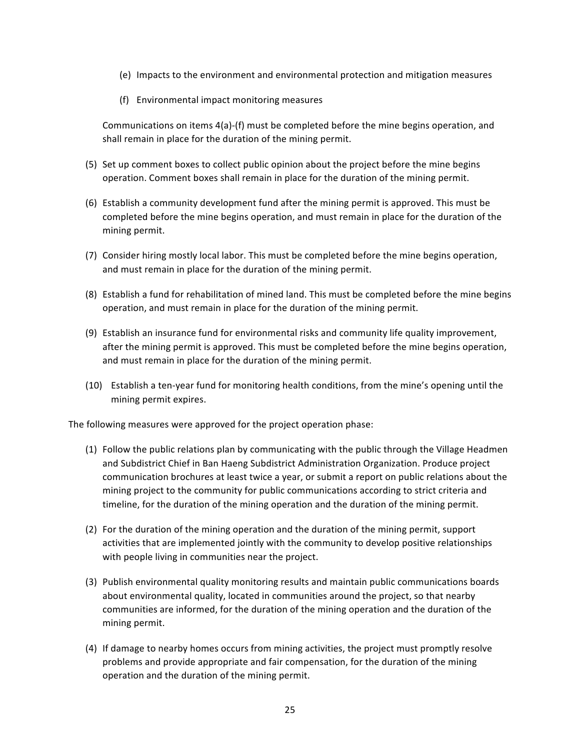- (e) Impacts to the environment and environmental protection and mitigation measures
- (f) Environmental impact monitoring measures

Communications on items  $4(a)$ -(f) must be completed before the mine begins operation, and shall remain in place for the duration of the mining permit.

- (5) Set up comment boxes to collect public opinion about the project before the mine begins operation. Comment boxes shall remain in place for the duration of the mining permit.
- (6) Establish a community development fund after the mining permit is approved. This must be completed before the mine begins operation, and must remain in place for the duration of the mining permit.
- (7) Consider hiring mostly local labor. This must be completed before the mine begins operation, and must remain in place for the duration of the mining permit.
- (8) Establish a fund for rehabilitation of mined land. This must be completed before the mine begins operation, and must remain in place for the duration of the mining permit.
- (9) Establish an insurance fund for environmental risks and community life quality improvement, after the mining permit is approved. This must be completed before the mine begins operation, and must remain in place for the duration of the mining permit.
- (10) Establish a ten-year fund for monitoring health conditions, from the mine's opening until the mining permit expires.

The following measures were approved for the project operation phase:

- $(1)$  Follow the public relations plan by communicating with the public through the Village Headmen and Subdistrict Chief in Ban Haeng Subdistrict Administration Organization. Produce project communication brochures at least twice a year, or submit a report on public relations about the mining project to the community for public communications according to strict criteria and timeline, for the duration of the mining operation and the duration of the mining permit.
- (2) For the duration of the mining operation and the duration of the mining permit, support activities that are implemented jointly with the community to develop positive relationships with people living in communities near the project.
- (3) Publish environmental quality monitoring results and maintain public communications boards about environmental quality, located in communities around the project, so that nearby communities are informed, for the duration of the mining operation and the duration of the mining permit.
- (4) If damage to nearby homes occurs from mining activities, the project must promptly resolve problems and provide appropriate and fair compensation, for the duration of the mining operation and the duration of the mining permit.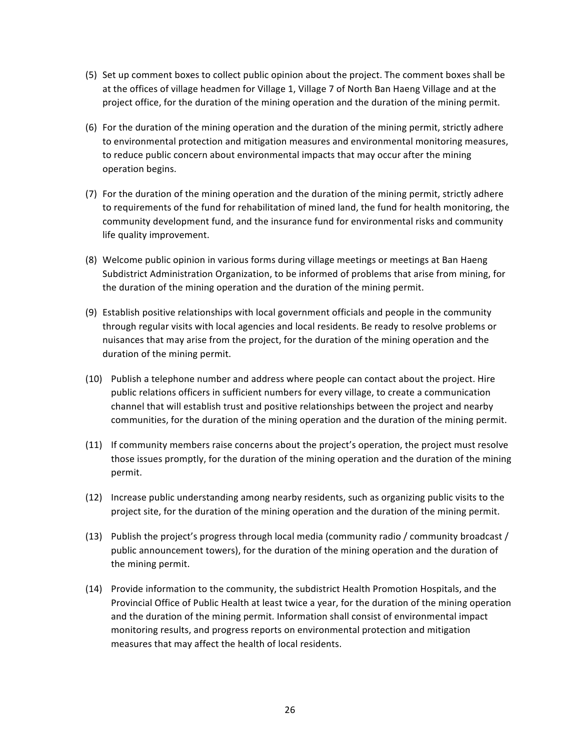- (5) Set up comment boxes to collect public opinion about the project. The comment boxes shall be at the offices of village headmen for Village 1, Village 7 of North Ban Haeng Village and at the project office, for the duration of the mining operation and the duration of the mining permit.
- $(6)$  For the duration of the mining operation and the duration of the mining permit, strictly adhere to environmental protection and mitigation measures and environmental monitoring measures, to reduce public concern about environmental impacts that may occur after the mining operation begins.
- (7) For the duration of the mining operation and the duration of the mining permit, strictly adhere to requirements of the fund for rehabilitation of mined land, the fund for health monitoring, the community development fund, and the insurance fund for environmental risks and community life quality improvement.
- (8) Welcome public opinion in various forms during village meetings or meetings at Ban Haeng Subdistrict Administration Organization, to be informed of problems that arise from mining, for the duration of the mining operation and the duration of the mining permit.
- (9) Establish positive relationships with local government officials and people in the community through regular visits with local agencies and local residents. Be ready to resolve problems or nuisances that may arise from the project, for the duration of the mining operation and the duration of the mining permit.
- (10) Publish a telephone number and address where people can contact about the project. Hire public relations officers in sufficient numbers for every village, to create a communication channel that will establish trust and positive relationships between the project and nearby communities, for the duration of the mining operation and the duration of the mining permit.
- (11) If community members raise concerns about the project's operation, the project must resolve those issues promptly, for the duration of the mining operation and the duration of the mining permit.
- (12) Increase public understanding among nearby residents, such as organizing public visits to the project site, for the duration of the mining operation and the duration of the mining permit.
- (13) Publish the project's progress through local media (community radio / community broadcast / public announcement towers), for the duration of the mining operation and the duration of the mining permit.
- (14) Provide information to the community, the subdistrict Health Promotion Hospitals, and the Provincial Office of Public Health at least twice a year, for the duration of the mining operation and the duration of the mining permit. Information shall consist of environmental impact monitoring results, and progress reports on environmental protection and mitigation measures that may affect the health of local residents.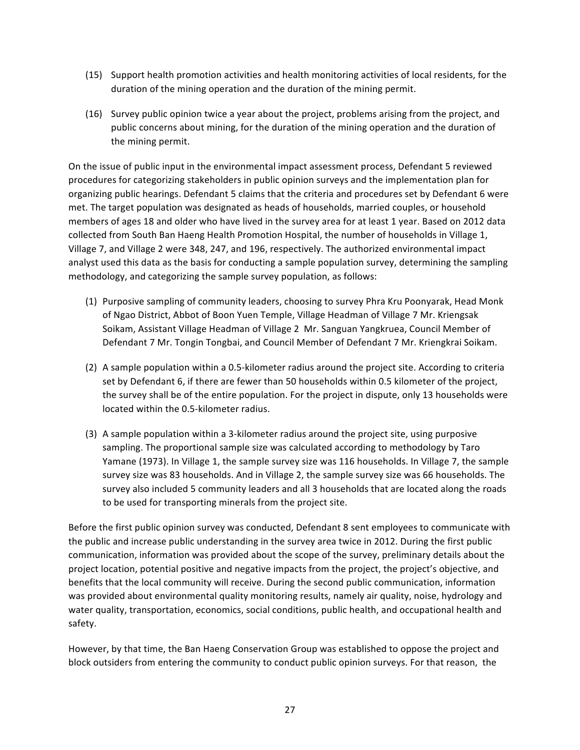- (15) Support health promotion activities and health monitoring activities of local residents, for the duration of the mining operation and the duration of the mining permit.
- (16) Survey public opinion twice a year about the project, problems arising from the project, and public concerns about mining, for the duration of the mining operation and the duration of the mining permit.

On the issue of public input in the environmental impact assessment process, Defendant 5 reviewed procedures for categorizing stakeholders in public opinion surveys and the implementation plan for organizing public hearings. Defendant 5 claims that the criteria and procedures set by Defendant 6 were met. The target population was designated as heads of households, married couples, or household members of ages 18 and older who have lived in the survey area for at least 1 year. Based on 2012 data collected from South Ban Haeng Health Promotion Hospital, the number of households in Village 1, Village 7, and Village 2 were 348, 247, and 196, respectively. The authorized environmental impact analyst used this data as the basis for conducting a sample population survey, determining the sampling methodology, and categorizing the sample survey population, as follows:

- (1) Purposive sampling of community leaders, choosing to survey Phra Kru Poonyarak, Head Monk of Ngao District, Abbot of Boon Yuen Temple, Village Headman of Village 7 Mr. Kriengsak Soikam, Assistant Village Headman of Village 2 Mr. Sanguan Yangkruea, Council Member of Defendant 7 Mr. Tongin Tongbai, and Council Member of Defendant 7 Mr. Kriengkrai Soikam.
- (2) A sample population within a 0.5-kilometer radius around the project site. According to criteria set by Defendant 6, if there are fewer than 50 households within 0.5 kilometer of the project, the survey shall be of the entire population. For the project in dispute, only 13 households were located within the 0.5-kilometer radius.
- $(3)$  A sample population within a 3-kilometer radius around the project site, using purposive sampling. The proportional sample size was calculated according to methodology by Taro Yamane (1973). In Village 1, the sample survey size was 116 households. In Village 7, the sample survey size was 83 households. And in Village 2, the sample survey size was 66 households. The survey also included 5 community leaders and all 3 households that are located along the roads to be used for transporting minerals from the project site.

Before the first public opinion survey was conducted, Defendant 8 sent employees to communicate with the public and increase public understanding in the survey area twice in 2012. During the first public communication, information was provided about the scope of the survey, preliminary details about the project location, potential positive and negative impacts from the project, the project's objective, and benefits that the local community will receive. During the second public communication, information was provided about environmental quality monitoring results, namely air quality, noise, hydrology and water quality, transportation, economics, social conditions, public health, and occupational health and safety. 

However, by that time, the Ban Haeng Conservation Group was established to oppose the project and block outsiders from entering the community to conduct public opinion surveys. For that reason, the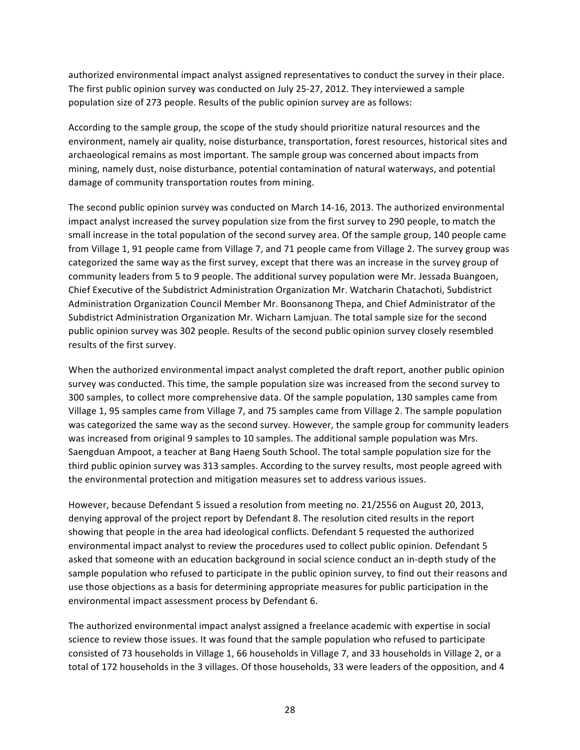authorized environmental impact analyst assigned representatives to conduct the survey in their place. The first public opinion survey was conducted on July 25-27, 2012. They interviewed a sample population size of 273 people. Results of the public opinion survey are as follows:

According to the sample group, the scope of the study should prioritize natural resources and the environment, namely air quality, noise disturbance, transportation, forest resources, historical sites and archaeological remains as most important. The sample group was concerned about impacts from mining, namely dust, noise disturbance, potential contamination of natural waterways, and potential damage of community transportation routes from mining.

The second public opinion survey was conducted on March 14-16, 2013. The authorized environmental impact analyst increased the survey population size from the first survey to 290 people, to match the small increase in the total population of the second survey area. Of the sample group, 140 people came from Village 1, 91 people came from Village 7, and 71 people came from Village 2. The survey group was categorized the same way as the first survey, except that there was an increase in the survey group of community leaders from 5 to 9 people. The additional survey population were Mr. Jessada Buangoen, Chief Executive of the Subdistrict Administration Organization Mr. Watcharin Chatachoti, Subdistrict Administration Organization Council Member Mr. Boonsanong Thepa, and Chief Administrator of the Subdistrict Administration Organization Mr. Wicharn Lamjuan. The total sample size for the second public opinion survey was 302 people. Results of the second public opinion survey closely resembled results of the first survey.

When the authorized environmental impact analyst completed the draft report, another public opinion survey was conducted. This time, the sample population size was increased from the second survey to 300 samples, to collect more comprehensive data. Of the sample population, 130 samples came from Village 1, 95 samples came from Village 7, and 75 samples came from Village 2. The sample population was categorized the same way as the second survey. However, the sample group for community leaders was increased from original 9 samples to 10 samples. The additional sample population was Mrs. Saengduan Ampoot, a teacher at Bang Haeng South School. The total sample population size for the third public opinion survey was 313 samples. According to the survey results, most people agreed with the environmental protection and mitigation measures set to address various issues.

However, because Defendant 5 issued a resolution from meeting no. 21/2556 on August 20, 2013, denying approval of the project report by Defendant 8. The resolution cited results in the report showing that people in the area had ideological conflicts. Defendant 5 requested the authorized environmental impact analyst to review the procedures used to collect public opinion. Defendant 5 asked that someone with an education background in social science conduct an in-depth study of the sample population who refused to participate in the public opinion survey, to find out their reasons and use those objections as a basis for determining appropriate measures for public participation in the environmental impact assessment process by Defendant 6.

The authorized environmental impact analyst assigned a freelance academic with expertise in social science to review those issues. It was found that the sample population who refused to participate consisted of 73 households in Village 1, 66 households in Village 7, and 33 households in Village 2, or a total of 172 households in the 3 villages. Of those households, 33 were leaders of the opposition, and 4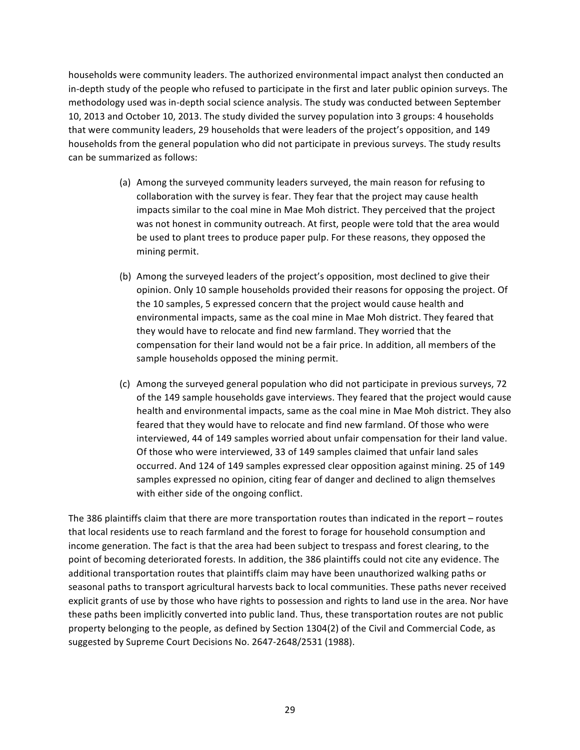households were community leaders. The authorized environmental impact analyst then conducted an in-depth study of the people who refused to participate in the first and later public opinion surveys. The methodology used was in-depth social science analysis. The study was conducted between September 10, 2013 and October 10, 2013. The study divided the survey population into 3 groups: 4 households that were community leaders, 29 households that were leaders of the project's opposition, and 149 households from the general population who did not participate in previous surveys. The study results can be summarized as follows:

- (a) Among the surveyed community leaders surveyed, the main reason for refusing to collaboration with the survey is fear. They fear that the project may cause health impacts similar to the coal mine in Mae Moh district. They perceived that the project was not honest in community outreach. At first, people were told that the area would be used to plant trees to produce paper pulp. For these reasons, they opposed the mining permit.
- (b) Among the surveyed leaders of the project's opposition, most declined to give their opinion. Only 10 sample households provided their reasons for opposing the project. Of the 10 samples, 5 expressed concern that the project would cause health and environmental impacts, same as the coal mine in Mae Moh district. They feared that they would have to relocate and find new farmland. They worried that the compensation for their land would not be a fair price. In addition, all members of the sample households opposed the mining permit.
- (c) Among the surveyed general population who did not participate in previous surveys, 72 of the 149 sample households gave interviews. They feared that the project would cause health and environmental impacts, same as the coal mine in Mae Moh district. They also feared that they would have to relocate and find new farmland. Of those who were interviewed, 44 of 149 samples worried about unfair compensation for their land value. Of those who were interviewed, 33 of 149 samples claimed that unfair land sales occurred. And 124 of 149 samples expressed clear opposition against mining. 25 of 149 samples expressed no opinion, citing fear of danger and declined to align themselves with either side of the ongoing conflict.

The 386 plaintiffs claim that there are more transportation routes than indicated in the report  $-$  routes that local residents use to reach farmland and the forest to forage for household consumption and income generation. The fact is that the area had been subject to trespass and forest clearing, to the point of becoming deteriorated forests. In addition, the 386 plaintiffs could not cite any evidence. The additional transportation routes that plaintiffs claim may have been unauthorized walking paths or seasonal paths to transport agricultural harvests back to local communities. These paths never received explicit grants of use by those who have rights to possession and rights to land use in the area. Nor have these paths been implicitly converted into public land. Thus, these transportation routes are not public property belonging to the people, as defined by Section 1304(2) of the Civil and Commercial Code, as suggested by Supreme Court Decisions No. 2647-2648/2531 (1988).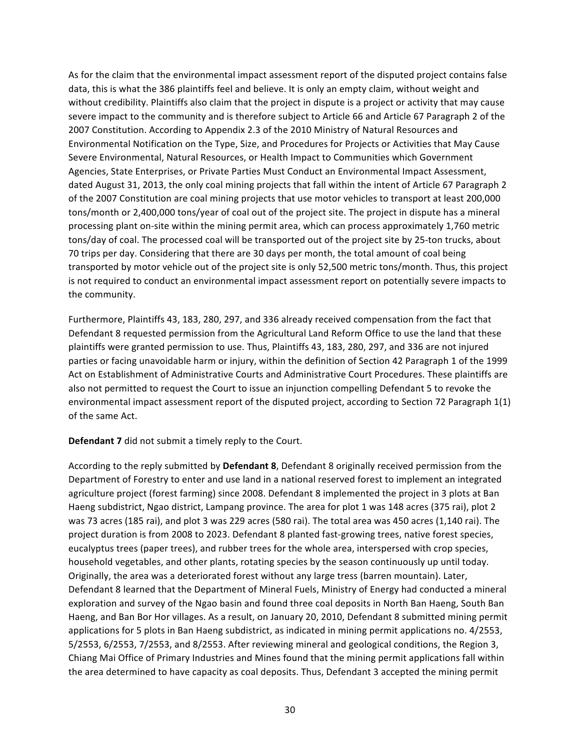As for the claim that the environmental impact assessment report of the disputed project contains false data, this is what the 386 plaintiffs feel and believe. It is only an empty claim, without weight and without credibility. Plaintiffs also claim that the project in dispute is a project or activity that may cause severe impact to the community and is therefore subject to Article 66 and Article 67 Paragraph 2 of the 2007 Constitution. According to Appendix 2.3 of the 2010 Ministry of Natural Resources and Environmental Notification on the Type, Size, and Procedures for Projects or Activities that May Cause Severe Environmental, Natural Resources, or Health Impact to Communities which Government Agencies, State Enterprises, or Private Parties Must Conduct an Environmental Impact Assessment, dated August 31, 2013, the only coal mining projects that fall within the intent of Article 67 Paragraph 2 of the 2007 Constitution are coal mining projects that use motor vehicles to transport at least 200,000 tons/month or 2,400,000 tons/year of coal out of the project site. The project in dispute has a mineral processing plant on-site within the mining permit area, which can process approximately 1,760 metric tons/day of coal. The processed coal will be transported out of the project site by 25-ton trucks, about 70 trips per day. Considering that there are 30 days per month, the total amount of coal being transported by motor vehicle out of the project site is only 52,500 metric tons/month. Thus, this project is not required to conduct an environmental impact assessment report on potentially severe impacts to the community.

Furthermore, Plaintiffs 43, 183, 280, 297, and 336 already received compensation from the fact that Defendant 8 requested permission from the Agricultural Land Reform Office to use the land that these plaintiffs were granted permission to use. Thus, Plaintiffs 43, 183, 280, 297, and 336 are not injured parties or facing unavoidable harm or injury, within the definition of Section 42 Paragraph 1 of the 1999 Act on Establishment of Administrative Courts and Administrative Court Procedures. These plaintiffs are also not permitted to request the Court to issue an injunction compelling Defendant 5 to revoke the environmental impact assessment report of the disputed project, according to Section 72 Paragraph 1(1) of the same Act.

## **Defendant 7** did not submit a timely reply to the Court.

According to the reply submitted by Defendant 8, Defendant 8 originally received permission from the Department of Forestry to enter and use land in a national reserved forest to implement an integrated agriculture project (forest farming) since 2008. Defendant 8 implemented the project in 3 plots at Ban Haeng subdistrict, Ngao district, Lampang province. The area for plot 1 was 148 acres (375 rai), plot 2 was 73 acres (185 rai), and plot 3 was 229 acres (580 rai). The total area was 450 acres (1,140 rai). The project duration is from 2008 to 2023. Defendant 8 planted fast-growing trees, native forest species, eucalyptus trees (paper trees), and rubber trees for the whole area, interspersed with crop species, household vegetables, and other plants, rotating species by the season continuously up until today. Originally, the area was a deteriorated forest without any large tress (barren mountain). Later, Defendant 8 learned that the Department of Mineral Fuels, Ministry of Energy had conducted a mineral exploration and survey of the Ngao basin and found three coal deposits in North Ban Haeng, South Ban Haeng, and Ban Bor Hor villages. As a result, on January 20, 2010, Defendant 8 submitted mining permit applications for 5 plots in Ban Haeng subdistrict, as indicated in mining permit applications no. 4/2553,  $5/2553$ ,  $6/2553$ ,  $7/2553$ , and  $8/2553$ . After reviewing mineral and geological conditions, the Region 3, Chiang Mai Office of Primary Industries and Mines found that the mining permit applications fall within the area determined to have capacity as coal deposits. Thus, Defendant 3 accepted the mining permit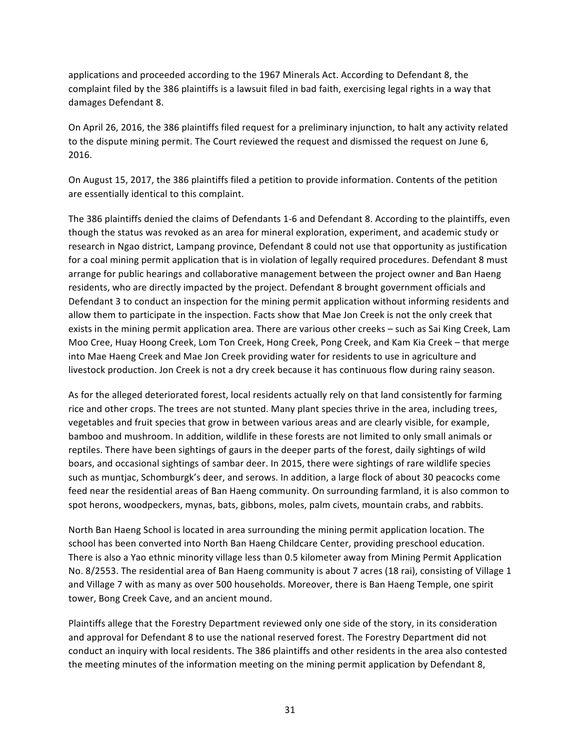applications and proceeded according to the 1967 Minerals Act. According to Defendant 8, the complaint filed by the 386 plaintiffs is a lawsuit filed in bad faith, exercising legal rights in a way that damages Defendant 8.

On April 26, 2016, the 386 plaintiffs filed request for a preliminary injunction, to halt any activity related to the dispute mining permit. The Court reviewed the request and dismissed the request on June 6, 2016. 

On August 15, 2017, the 386 plaintiffs filed a petition to provide information. Contents of the petition are essentially identical to this complaint.

The 386 plaintiffs denied the claims of Defendants 1-6 and Defendant 8. According to the plaintiffs, even though the status was revoked as an area for mineral exploration, experiment, and academic study or research in Ngao district, Lampang province, Defendant 8 could not use that opportunity as justification for a coal mining permit application that is in violation of legally required procedures. Defendant 8 must arrange for public hearings and collaborative management between the project owner and Ban Haeng residents, who are directly impacted by the project. Defendant 8 brought government officials and Defendant 3 to conduct an inspection for the mining permit application without informing residents and allow them to participate in the inspection. Facts show that Mae Jon Creek is not the only creek that exists in the mining permit application area. There are various other creeks – such as Sai King Creek, Lam Moo Cree, Huay Hoong Creek, Lom Ton Creek, Hong Creek, Pong Creek, and Kam Kia Creek – that merge into Mae Haeng Creek and Mae Jon Creek providing water for residents to use in agriculture and livestock production. Jon Creek is not a dry creek because it has continuous flow during rainy season.

As for the alleged deteriorated forest, local residents actually rely on that land consistently for farming rice and other crops. The trees are not stunted. Many plant species thrive in the area, including trees, vegetables and fruit species that grow in between various areas and are clearly visible, for example, bamboo and mushroom. In addition, wildlife in these forests are not limited to only small animals or reptiles. There have been sightings of gaurs in the deeper parts of the forest, daily sightings of wild boars, and occasional sightings of sambar deer. In 2015, there were sightings of rare wildlife species such as muntjac, Schomburgk's deer, and serows. In addition, a large flock of about 30 peacocks come feed near the residential areas of Ban Haeng community. On surrounding farmland, it is also common to spot herons, woodpeckers, mynas, bats, gibbons, moles, palm civets, mountain crabs, and rabbits.

North Ban Haeng School is located in area surrounding the mining permit application location. The school has been converted into North Ban Haeng Childcare Center, providing preschool education. There is also a Yao ethnic minority village less than 0.5 kilometer away from Mining Permit Application No. 8/2553. The residential area of Ban Haeng community is about 7 acres (18 rai), consisting of Village 1 and Village 7 with as many as over 500 households. Moreover, there is Ban Haeng Temple, one spirit tower, Bong Creek Cave, and an ancient mound.

Plaintiffs allege that the Forestry Department reviewed only one side of the story, in its consideration and approval for Defendant 8 to use the national reserved forest. The Forestry Department did not conduct an inquiry with local residents. The 386 plaintiffs and other residents in the area also contested the meeting minutes of the information meeting on the mining permit application by Defendant 8,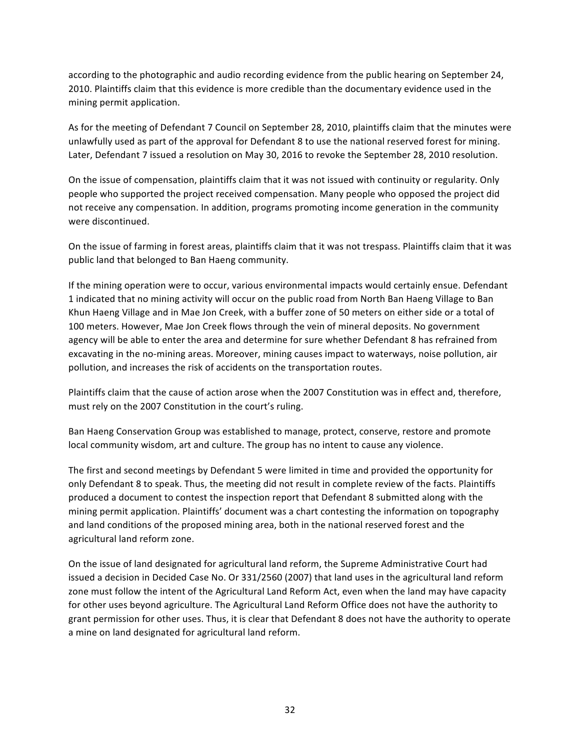according to the photographic and audio recording evidence from the public hearing on September 24, 2010. Plaintiffs claim that this evidence is more credible than the documentary evidence used in the mining permit application.

As for the meeting of Defendant 7 Council on September 28, 2010, plaintiffs claim that the minutes were unlawfully used as part of the approval for Defendant 8 to use the national reserved forest for mining. Later, Defendant 7 issued a resolution on May 30, 2016 to revoke the September 28, 2010 resolution.

On the issue of compensation, plaintiffs claim that it was not issued with continuity or regularity. Only people who supported the project received compensation. Many people who opposed the project did not receive any compensation. In addition, programs promoting income generation in the community were discontinued.

On the issue of farming in forest areas, plaintiffs claim that it was not trespass. Plaintiffs claim that it was public land that belonged to Ban Haeng community.

If the mining operation were to occur, various environmental impacts would certainly ensue. Defendant 1 indicated that no mining activity will occur on the public road from North Ban Haeng Village to Ban Khun Haeng Village and in Mae Jon Creek, with a buffer zone of 50 meters on either side or a total of 100 meters. However, Mae Jon Creek flows through the vein of mineral deposits. No government agency will be able to enter the area and determine for sure whether Defendant 8 has refrained from excavating in the no-mining areas. Moreover, mining causes impact to waterways, noise pollution, air pollution, and increases the risk of accidents on the transportation routes.

Plaintiffs claim that the cause of action arose when the 2007 Constitution was in effect and, therefore, must rely on the 2007 Constitution in the court's ruling.

Ban Haeng Conservation Group was established to manage, protect, conserve, restore and promote local community wisdom, art and culture. The group has no intent to cause any violence.

The first and second meetings by Defendant 5 were limited in time and provided the opportunity for only Defendant 8 to speak. Thus, the meeting did not result in complete review of the facts. Plaintiffs produced a document to contest the inspection report that Defendant 8 submitted along with the mining permit application. Plaintiffs' document was a chart contesting the information on topography and land conditions of the proposed mining area, both in the national reserved forest and the agricultural land reform zone.

On the issue of land designated for agricultural land reform, the Supreme Administrative Court had issued a decision in Decided Case No. Or 331/2560 (2007) that land uses in the agricultural land reform zone must follow the intent of the Agricultural Land Reform Act, even when the land may have capacity for other uses beyond agriculture. The Agricultural Land Reform Office does not have the authority to grant permission for other uses. Thus, it is clear that Defendant 8 does not have the authority to operate a mine on land designated for agricultural land reform.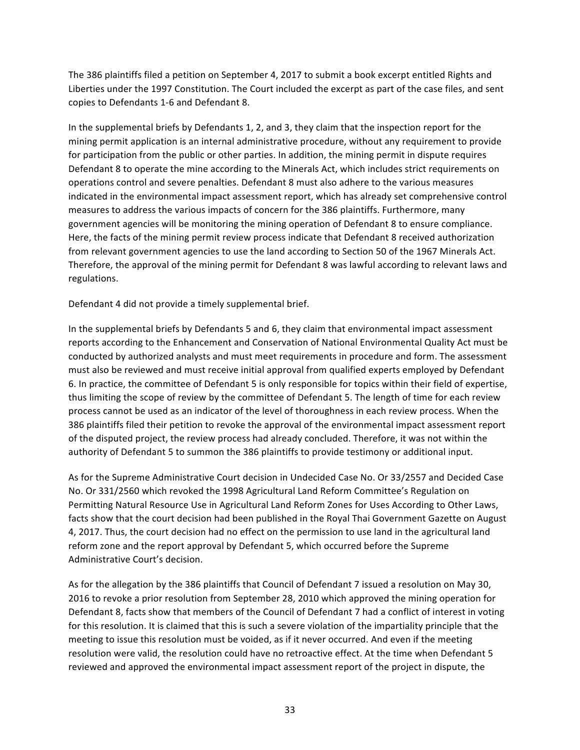The 386 plaintiffs filed a petition on September 4, 2017 to submit a book excerpt entitled Rights and Liberties under the 1997 Constitution. The Court included the excerpt as part of the case files, and sent copies to Defendants 1-6 and Defendant 8.

In the supplemental briefs by Defendants 1, 2, and 3, they claim that the inspection report for the mining permit application is an internal administrative procedure, without any requirement to provide for participation from the public or other parties. In addition, the mining permit in dispute requires Defendant 8 to operate the mine according to the Minerals Act, which includes strict requirements on operations control and severe penalties. Defendant 8 must also adhere to the various measures indicated in the environmental impact assessment report, which has already set comprehensive control measures to address the various impacts of concern for the 386 plaintiffs. Furthermore, many government agencies will be monitoring the mining operation of Defendant 8 to ensure compliance. Here, the facts of the mining permit review process indicate that Defendant 8 received authorization from relevant government agencies to use the land according to Section 50 of the 1967 Minerals Act. Therefore, the approval of the mining permit for Defendant 8 was lawful according to relevant laws and regulations.

Defendant 4 did not provide a timely supplemental brief.

In the supplemental briefs by Defendants 5 and 6, they claim that environmental impact assessment reports according to the Enhancement and Conservation of National Environmental Quality Act must be conducted by authorized analysts and must meet requirements in procedure and form. The assessment must also be reviewed and must receive initial approval from qualified experts employed by Defendant 6. In practice, the committee of Defendant 5 is only responsible for topics within their field of expertise, thus limiting the scope of review by the committee of Defendant 5. The length of time for each review process cannot be used as an indicator of the level of thoroughness in each review process. When the 386 plaintiffs filed their petition to revoke the approval of the environmental impact assessment report of the disputed project, the review process had already concluded. Therefore, it was not within the authority of Defendant 5 to summon the 386 plaintiffs to provide testimony or additional input.

As for the Supreme Administrative Court decision in Undecided Case No. Or 33/2557 and Decided Case No. Or 331/2560 which revoked the 1998 Agricultural Land Reform Committee's Regulation on Permitting Natural Resource Use in Agricultural Land Reform Zones for Uses According to Other Laws, facts show that the court decision had been published in the Royal Thai Government Gazette on August 4, 2017. Thus, the court decision had no effect on the permission to use land in the agricultural land reform zone and the report approval by Defendant 5, which occurred before the Supreme Administrative Court's decision.

As for the allegation by the 386 plaintiffs that Council of Defendant 7 issued a resolution on May 30, 2016 to revoke a prior resolution from September 28, 2010 which approved the mining operation for Defendant 8, facts show that members of the Council of Defendant 7 had a conflict of interest in voting for this resolution. It is claimed that this is such a severe violation of the impartiality principle that the meeting to issue this resolution must be voided, as if it never occurred. And even if the meeting resolution were valid, the resolution could have no retroactive effect. At the time when Defendant 5 reviewed and approved the environmental impact assessment report of the project in dispute, the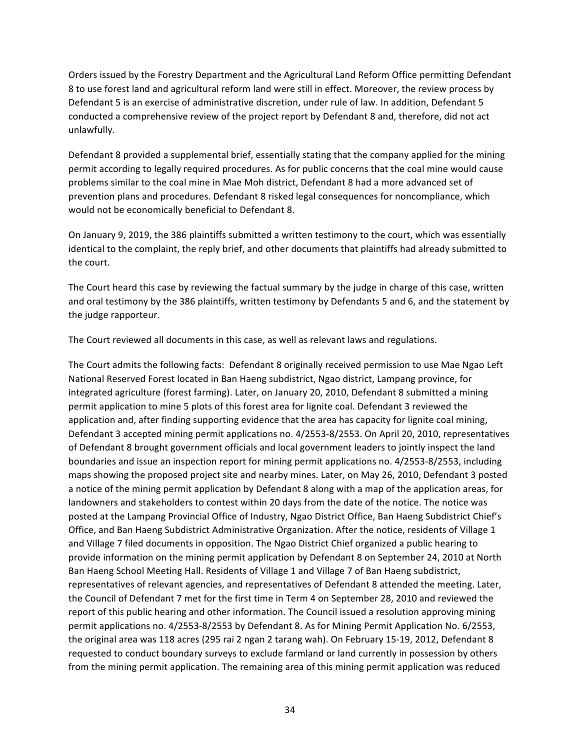Orders issued by the Forestry Department and the Agricultural Land Reform Office permitting Defendant 8 to use forest land and agricultural reform land were still in effect. Moreover, the review process by Defendant 5 is an exercise of administrative discretion, under rule of law. In addition, Defendant 5 conducted a comprehensive review of the project report by Defendant 8 and, therefore, did not act unlawfully. 

Defendant 8 provided a supplemental brief, essentially stating that the company applied for the mining permit according to legally required procedures. As for public concerns that the coal mine would cause problems similar to the coal mine in Mae Moh district, Defendant 8 had a more advanced set of prevention plans and procedures. Defendant 8 risked legal consequences for noncompliance, which would not be economically beneficial to Defendant 8.

On January 9, 2019, the 386 plaintiffs submitted a written testimony to the court, which was essentially identical to the complaint, the reply brief, and other documents that plaintiffs had already submitted to the court.

The Court heard this case by reviewing the factual summary by the judge in charge of this case, written and oral testimony by the 386 plaintiffs, written testimony by Defendants 5 and 6, and the statement by the judge rapporteur.

The Court reviewed all documents in this case, as well as relevant laws and regulations.

The Court admits the following facts: Defendant 8 originally received permission to use Mae Ngao Left National Reserved Forest located in Ban Haeng subdistrict, Ngao district, Lampang province, for integrated agriculture (forest farming). Later, on January 20, 2010, Defendant 8 submitted a mining permit application to mine 5 plots of this forest area for lignite coal. Defendant 3 reviewed the application and, after finding supporting evidence that the area has capacity for lignite coal mining, Defendant 3 accepted mining permit applications no. 4/2553-8/2553. On April 20, 2010, representatives of Defendant 8 brought government officials and local government leaders to jointly inspect the land boundaries and issue an inspection report for mining permit applications no. 4/2553-8/2553, including maps showing the proposed project site and nearby mines. Later, on May 26, 2010, Defendant 3 posted a notice of the mining permit application by Defendant 8 along with a map of the application areas, for landowners and stakeholders to contest within 20 days from the date of the notice. The notice was posted at the Lampang Provincial Office of Industry, Ngao District Office, Ban Haeng Subdistrict Chief's Office, and Ban Haeng Subdistrict Administrative Organization. After the notice, residents of Village 1 and Village 7 filed documents in opposition. The Ngao District Chief organized a public hearing to provide information on the mining permit application by Defendant 8 on September 24, 2010 at North Ban Haeng School Meeting Hall. Residents of Village 1 and Village 7 of Ban Haeng subdistrict, representatives of relevant agencies, and representatives of Defendant 8 attended the meeting. Later, the Council of Defendant 7 met for the first time in Term 4 on September 28, 2010 and reviewed the report of this public hearing and other information. The Council issued a resolution approving mining permit applications no. 4/2553-8/2553 by Defendant 8. As for Mining Permit Application No. 6/2553, the original area was 118 acres (295 rai 2 ngan 2 tarang wah). On February 15-19, 2012, Defendant 8 requested to conduct boundary surveys to exclude farmland or land currently in possession by others from the mining permit application. The remaining area of this mining permit application was reduced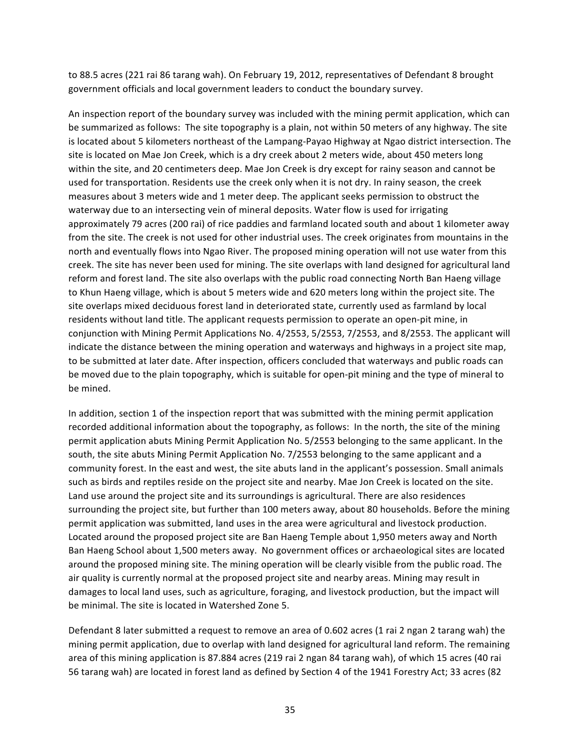to 88.5 acres (221 rai 86 tarang wah). On February 19, 2012, representatives of Defendant 8 brought government officials and local government leaders to conduct the boundary survey.

An inspection report of the boundary survey was included with the mining permit application, which can be summarized as follows: The site topography is a plain, not within 50 meters of any highway. The site is located about 5 kilometers northeast of the Lampang-Payao Highway at Ngao district intersection. The site is located on Mae Jon Creek, which is a dry creek about 2 meters wide, about 450 meters long within the site, and 20 centimeters deep. Mae Jon Creek is dry except for rainy season and cannot be used for transportation. Residents use the creek only when it is not dry. In rainy season, the creek measures about 3 meters wide and 1 meter deep. The applicant seeks permission to obstruct the waterway due to an intersecting vein of mineral deposits. Water flow is used for irrigating approximately 79 acres (200 rai) of rice paddies and farmland located south and about 1 kilometer away from the site. The creek is not used for other industrial uses. The creek originates from mountains in the north and eventually flows into Ngao River. The proposed mining operation will not use water from this creek. The site has never been used for mining. The site overlaps with land designed for agricultural land reform and forest land. The site also overlaps with the public road connecting North Ban Haeng village to Khun Haeng village, which is about 5 meters wide and 620 meters long within the project site. The site overlaps mixed deciduous forest land in deteriorated state, currently used as farmland by local residents without land title. The applicant requests permission to operate an open-pit mine, in conjunction with Mining Permit Applications No. 4/2553, 5/2553, 7/2553, and 8/2553. The applicant will indicate the distance between the mining operation and waterways and highways in a project site map, to be submitted at later date. After inspection, officers concluded that waterways and public roads can be moved due to the plain topography, which is suitable for open-pit mining and the type of mineral to be mined.

In addition, section 1 of the inspection report that was submitted with the mining permit application recorded additional information about the topography, as follows: In the north, the site of the mining permit application abuts Mining Permit Application No. 5/2553 belonging to the same applicant. In the south, the site abuts Mining Permit Application No. 7/2553 belonging to the same applicant and a community forest. In the east and west, the site abuts land in the applicant's possession. Small animals such as birds and reptiles reside on the project site and nearby. Mae Jon Creek is located on the site. Land use around the project site and its surroundings is agricultural. There are also residences surrounding the project site, but further than 100 meters away, about 80 households. Before the mining permit application was submitted, land uses in the area were agricultural and livestock production. Located around the proposed project site are Ban Haeng Temple about 1,950 meters away and North Ban Haeng School about 1,500 meters away. No government offices or archaeological sites are located around the proposed mining site. The mining operation will be clearly visible from the public road. The air quality is currently normal at the proposed project site and nearby areas. Mining may result in damages to local land uses, such as agriculture, foraging, and livestock production, but the impact will be minimal. The site is located in Watershed Zone 5.

Defendant 8 later submitted a request to remove an area of 0.602 acres (1 rai 2 ngan 2 tarang wah) the mining permit application, due to overlap with land designed for agricultural land reform. The remaining area of this mining application is 87.884 acres (219 rai 2 ngan 84 tarang wah), of which 15 acres (40 rai 56 tarang wah) are located in forest land as defined by Section 4 of the 1941 Forestry Act; 33 acres (82)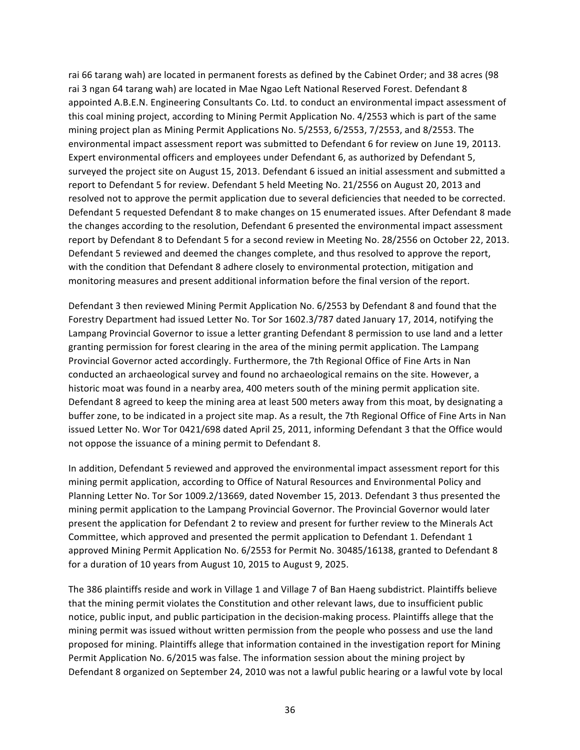rai 66 tarang wah) are located in permanent forests as defined by the Cabinet Order; and 38 acres (98 rai 3 ngan 64 tarang wah) are located in Mae Ngao Left National Reserved Forest. Defendant 8 appointed A.B.E.N. Engineering Consultants Co. Ltd. to conduct an environmental impact assessment of this coal mining project, according to Mining Permit Application No. 4/2553 which is part of the same mining project plan as Mining Permit Applications No. 5/2553, 6/2553, 7/2553, and 8/2553. The environmental impact assessment report was submitted to Defendant 6 for review on June 19, 20113. Expert environmental officers and employees under Defendant 6, as authorized by Defendant 5, surveyed the project site on August 15, 2013. Defendant 6 issued an initial assessment and submitted a report to Defendant 5 for review. Defendant 5 held Meeting No. 21/2556 on August 20, 2013 and resolved not to approve the permit application due to several deficiencies that needed to be corrected. Defendant 5 requested Defendant 8 to make changes on 15 enumerated issues. After Defendant 8 made the changes according to the resolution, Defendant 6 presented the environmental impact assessment report by Defendant 8 to Defendant 5 for a second review in Meeting No. 28/2556 on October 22, 2013. Defendant 5 reviewed and deemed the changes complete, and thus resolved to approve the report, with the condition that Defendant 8 adhere closely to environmental protection, mitigation and monitoring measures and present additional information before the final version of the report.

Defendant 3 then reviewed Mining Permit Application No. 6/2553 by Defendant 8 and found that the Forestry Department had issued Letter No. Tor Sor 1602.3/787 dated January 17, 2014, notifying the Lampang Provincial Governor to issue a letter granting Defendant 8 permission to use land and a letter granting permission for forest clearing in the area of the mining permit application. The Lampang Provincial Governor acted accordingly. Furthermore, the 7th Regional Office of Fine Arts in Nan conducted an archaeological survey and found no archaeological remains on the site. However, a historic moat was found in a nearby area, 400 meters south of the mining permit application site. Defendant 8 agreed to keep the mining area at least 500 meters away from this moat, by designating a buffer zone, to be indicated in a project site map. As a result, the 7th Regional Office of Fine Arts in Nan issued Letter No. Wor Tor 0421/698 dated April 25, 2011, informing Defendant 3 that the Office would not oppose the issuance of a mining permit to Defendant 8.

In addition, Defendant 5 reviewed and approved the environmental impact assessment report for this mining permit application, according to Office of Natural Resources and Environmental Policy and Planning Letter No. Tor Sor 1009.2/13669, dated November 15, 2013. Defendant 3 thus presented the mining permit application to the Lampang Provincial Governor. The Provincial Governor would later present the application for Defendant 2 to review and present for further review to the Minerals Act Committee, which approved and presented the permit application to Defendant 1. Defendant 1 approved Mining Permit Application No. 6/2553 for Permit No. 30485/16138, granted to Defendant 8 for a duration of 10 years from August 10, 2015 to August 9, 2025.

The 386 plaintiffs reside and work in Village 1 and Village 7 of Ban Haeng subdistrict. Plaintiffs believe that the mining permit violates the Constitution and other relevant laws, due to insufficient public notice, public input, and public participation in the decision-making process. Plaintiffs allege that the mining permit was issued without written permission from the people who possess and use the land proposed for mining. Plaintiffs allege that information contained in the investigation report for Mining Permit Application No. 6/2015 was false. The information session about the mining project by Defendant 8 organized on September 24, 2010 was not a lawful public hearing or a lawful vote by local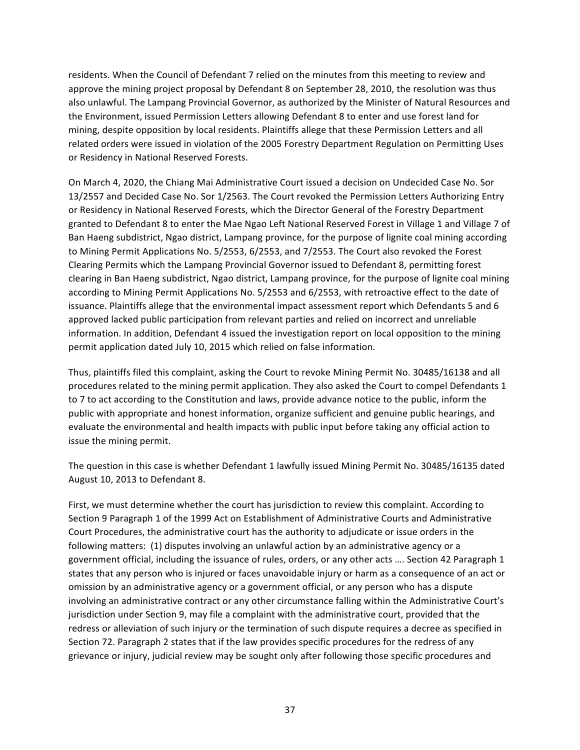residents. When the Council of Defendant 7 relied on the minutes from this meeting to review and approve the mining project proposal by Defendant 8 on September 28, 2010, the resolution was thus also unlawful. The Lampang Provincial Governor, as authorized by the Minister of Natural Resources and the Environment, issued Permission Letters allowing Defendant 8 to enter and use forest land for mining, despite opposition by local residents. Plaintiffs allege that these Permission Letters and all related orders were issued in violation of the 2005 Forestry Department Regulation on Permitting Uses or Residency in National Reserved Forests.

On March 4, 2020, the Chiang Mai Administrative Court issued a decision on Undecided Case No. Sor 13/2557 and Decided Case No. Sor 1/2563. The Court revoked the Permission Letters Authorizing Entry or Residency in National Reserved Forests, which the Director General of the Forestry Department granted to Defendant 8 to enter the Mae Ngao Left National Reserved Forest in Village 1 and Village 7 of Ban Haeng subdistrict, Ngao district, Lampang province, for the purpose of lignite coal mining according to Mining Permit Applications No. 5/2553, 6/2553, and 7/2553. The Court also revoked the Forest Clearing Permits which the Lampang Provincial Governor issued to Defendant 8, permitting forest clearing in Ban Haeng subdistrict, Ngao district, Lampang province, for the purpose of lignite coal mining according to Mining Permit Applications No. 5/2553 and 6/2553, with retroactive effect to the date of issuance. Plaintiffs allege that the environmental impact assessment report which Defendants 5 and 6 approved lacked public participation from relevant parties and relied on incorrect and unreliable information. In addition, Defendant 4 issued the investigation report on local opposition to the mining permit application dated July 10, 2015 which relied on false information.

Thus, plaintiffs filed this complaint, asking the Court to revoke Mining Permit No. 30485/16138 and all procedures related to the mining permit application. They also asked the Court to compel Defendants 1 to 7 to act according to the Constitution and laws, provide advance notice to the public, inform the public with appropriate and honest information, organize sufficient and genuine public hearings, and evaluate the environmental and health impacts with public input before taking any official action to issue the mining permit.

The question in this case is whether Defendant 1 lawfully issued Mining Permit No. 30485/16135 dated August 10, 2013 to Defendant 8.

First, we must determine whether the court has jurisdiction to review this complaint. According to Section 9 Paragraph 1 of the 1999 Act on Establishment of Administrative Courts and Administrative Court Procedures, the administrative court has the authority to adjudicate or issue orders in the following matters: (1) disputes involving an unlawful action by an administrative agency or a government official, including the issuance of rules, orders, or any other acts .... Section 42 Paragraph 1 states that any person who is injured or faces unavoidable injury or harm as a consequence of an act or omission by an administrative agency or a government official, or any person who has a dispute involving an administrative contract or any other circumstance falling within the Administrative Court's jurisdiction under Section 9, may file a complaint with the administrative court, provided that the redress or alleviation of such injury or the termination of such dispute requires a decree as specified in Section 72. Paragraph 2 states that if the law provides specific procedures for the redress of any grievance or injury, judicial review may be sought only after following those specific procedures and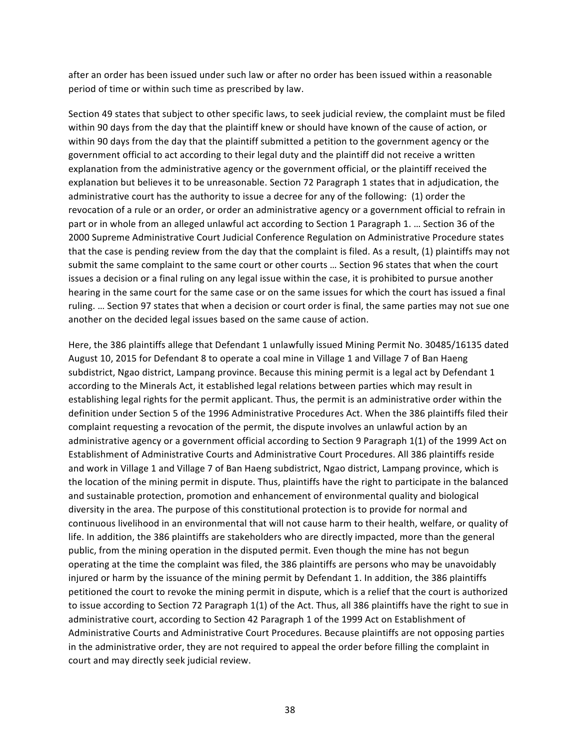after an order has been issued under such law or after no order has been issued within a reasonable period of time or within such time as prescribed by law.

Section 49 states that subject to other specific laws, to seek judicial review, the complaint must be filed within 90 days from the day that the plaintiff knew or should have known of the cause of action, or within 90 days from the day that the plaintiff submitted a petition to the government agency or the government official to act according to their legal duty and the plaintiff did not receive a written explanation from the administrative agency or the government official, or the plaintiff received the explanation but believes it to be unreasonable. Section 72 Paragraph 1 states that in adjudication, the administrative court has the authority to issue a decree for any of the following: (1) order the revocation of a rule or an order, or order an administrative agency or a government official to refrain in part or in whole from an alleged unlawful act according to Section 1 Paragraph 1. ... Section 36 of the 2000 Supreme Administrative Court Judicial Conference Regulation on Administrative Procedure states that the case is pending review from the day that the complaint is filed. As a result, (1) plaintiffs may not submit the same complaint to the same court or other courts ... Section 96 states that when the court issues a decision or a final ruling on any legal issue within the case, it is prohibited to pursue another hearing in the same court for the same case or on the same issues for which the court has issued a final ruling. ... Section 97 states that when a decision or court order is final, the same parties may not sue one another on the decided legal issues based on the same cause of action.

Here, the 386 plaintiffs allege that Defendant 1 unlawfully issued Mining Permit No. 30485/16135 dated August 10, 2015 for Defendant 8 to operate a coal mine in Village 1 and Village 7 of Ban Haeng subdistrict, Ngao district, Lampang province. Because this mining permit is a legal act by Defendant 1 according to the Minerals Act, it established legal relations between parties which may result in establishing legal rights for the permit applicant. Thus, the permit is an administrative order within the definition under Section 5 of the 1996 Administrative Procedures Act. When the 386 plaintiffs filed their complaint requesting a revocation of the permit, the dispute involves an unlawful action by an administrative agency or a government official according to Section 9 Paragraph 1(1) of the 1999 Act on Establishment of Administrative Courts and Administrative Court Procedures. All 386 plaintiffs reside and work in Village 1 and Village 7 of Ban Haeng subdistrict, Ngao district, Lampang province, which is the location of the mining permit in dispute. Thus, plaintiffs have the right to participate in the balanced and sustainable protection, promotion and enhancement of environmental quality and biological diversity in the area. The purpose of this constitutional protection is to provide for normal and continuous livelihood in an environmental that will not cause harm to their health, welfare, or quality of life. In addition, the 386 plaintiffs are stakeholders who are directly impacted, more than the general public, from the mining operation in the disputed permit. Even though the mine has not begun operating at the time the complaint was filed, the 386 plaintiffs are persons who may be unavoidably injured or harm by the issuance of the mining permit by Defendant 1. In addition, the 386 plaintiffs petitioned the court to revoke the mining permit in dispute, which is a relief that the court is authorized to issue according to Section 72 Paragraph 1(1) of the Act. Thus, all 386 plaintiffs have the right to sue in administrative court, according to Section 42 Paragraph 1 of the 1999 Act on Establishment of Administrative Courts and Administrative Court Procedures. Because plaintiffs are not opposing parties in the administrative order, they are not required to appeal the order before filling the complaint in court and may directly seek judicial review.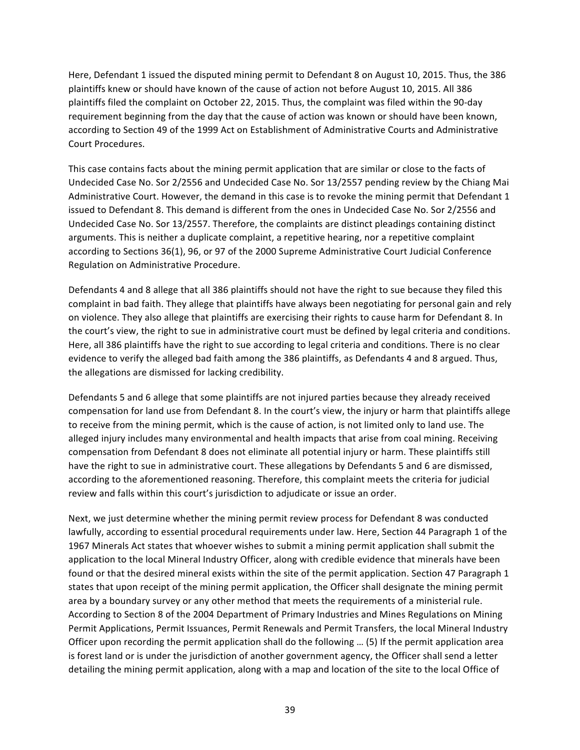Here, Defendant 1 issued the disputed mining permit to Defendant 8 on August 10, 2015. Thus, the 386 plaintiffs knew or should have known of the cause of action not before August 10, 2015. All 386 plaintiffs filed the complaint on October 22, 2015. Thus, the complaint was filed within the 90-day requirement beginning from the day that the cause of action was known or should have been known, according to Section 49 of the 1999 Act on Establishment of Administrative Courts and Administrative Court Procedures.

This case contains facts about the mining permit application that are similar or close to the facts of Undecided Case No. Sor 2/2556 and Undecided Case No. Sor 13/2557 pending review by the Chiang Mai Administrative Court. However, the demand in this case is to revoke the mining permit that Defendant 1 issued to Defendant 8. This demand is different from the ones in Undecided Case No. Sor 2/2556 and Undecided Case No. Sor 13/2557. Therefore, the complaints are distinct pleadings containing distinct arguments. This is neither a duplicate complaint, a repetitive hearing, nor a repetitive complaint according to Sections 36(1), 96, or 97 of the 2000 Supreme Administrative Court Judicial Conference Regulation on Administrative Procedure.

Defendants 4 and 8 allege that all 386 plaintiffs should not have the right to sue because they filed this complaint in bad faith. They allege that plaintiffs have always been negotiating for personal gain and rely on violence. They also allege that plaintiffs are exercising their rights to cause harm for Defendant 8. In the court's view, the right to sue in administrative court must be defined by legal criteria and conditions. Here, all 386 plaintiffs have the right to sue according to legal criteria and conditions. There is no clear evidence to verify the alleged bad faith among the 386 plaintiffs, as Defendants 4 and 8 argued. Thus, the allegations are dismissed for lacking credibility.

Defendants 5 and 6 allege that some plaintiffs are not injured parties because they already received compensation for land use from Defendant 8. In the court's view, the injury or harm that plaintiffs allege to receive from the mining permit, which is the cause of action, is not limited only to land use. The alleged injury includes many environmental and health impacts that arise from coal mining. Receiving compensation from Defendant 8 does not eliminate all potential injury or harm. These plaintiffs still have the right to sue in administrative court. These allegations by Defendants 5 and 6 are dismissed, according to the aforementioned reasoning. Therefore, this complaint meets the criteria for judicial review and falls within this court's jurisdiction to adjudicate or issue an order.

Next, we just determine whether the mining permit review process for Defendant 8 was conducted lawfully, according to essential procedural requirements under law. Here, Section 44 Paragraph 1 of the 1967 Minerals Act states that whoever wishes to submit a mining permit application shall submit the application to the local Mineral Industry Officer, along with credible evidence that minerals have been found or that the desired mineral exists within the site of the permit application. Section 47 Paragraph 1 states that upon receipt of the mining permit application, the Officer shall designate the mining permit area by a boundary survey or any other method that meets the requirements of a ministerial rule. According to Section 8 of the 2004 Department of Primary Industries and Mines Regulations on Mining Permit Applications, Permit Issuances, Permit Renewals and Permit Transfers, the local Mineral Industry Officer upon recording the permit application shall do the following ... (5) If the permit application area is forest land or is under the jurisdiction of another government agency, the Officer shall send a letter detailing the mining permit application, along with a map and location of the site to the local Office of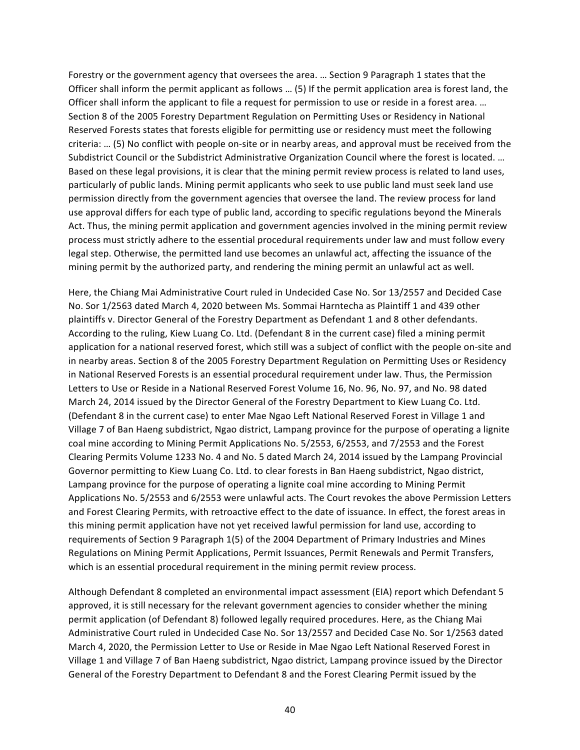Forestry or the government agency that oversees the area. ... Section 9 Paragraph 1 states that the Officer shall inform the permit applicant as follows ... (5) If the permit application area is forest land, the Officer shall inform the applicant to file a request for permission to use or reside in a forest area. ... Section 8 of the 2005 Forestry Department Regulation on Permitting Uses or Residency in National Reserved Forests states that forests eligible for permitting use or residency must meet the following criteria: ... (5) No conflict with people on-site or in nearby areas, and approval must be received from the Subdistrict Council or the Subdistrict Administrative Organization Council where the forest is located. ... Based on these legal provisions, it is clear that the mining permit review process is related to land uses, particularly of public lands. Mining permit applicants who seek to use public land must seek land use permission directly from the government agencies that oversee the land. The review process for land use approval differs for each type of public land, according to specific regulations beyond the Minerals Act. Thus, the mining permit application and government agencies involved in the mining permit review process must strictly adhere to the essential procedural requirements under law and must follow every legal step. Otherwise, the permitted land use becomes an unlawful act, affecting the issuance of the mining permit by the authorized party, and rendering the mining permit an unlawful act as well.

Here, the Chiang Mai Administrative Court ruled in Undecided Case No. Sor 13/2557 and Decided Case No. Sor 1/2563 dated March 4, 2020 between Ms. Sommai Harntecha as Plaintiff 1 and 439 other plaintiffs v. Director General of the Forestry Department as Defendant 1 and 8 other defendants. According to the ruling, Kiew Luang Co. Ltd. (Defendant 8 in the current case) filed a mining permit application for a national reserved forest, which still was a subject of conflict with the people on-site and in nearby areas. Section 8 of the 2005 Forestry Department Regulation on Permitting Uses or Residency in National Reserved Forests is an essential procedural requirement under law. Thus, the Permission Letters to Use or Reside in a National Reserved Forest Volume 16, No. 96, No. 97, and No. 98 dated March 24, 2014 issued by the Director General of the Forestry Department to Kiew Luang Co. Ltd. (Defendant 8 in the current case) to enter Mae Ngao Left National Reserved Forest in Village 1 and Village 7 of Ban Haeng subdistrict, Ngao district, Lampang province for the purpose of operating a lignite coal mine according to Mining Permit Applications No. 5/2553, 6/2553, and 7/2553 and the Forest Clearing Permits Volume 1233 No. 4 and No. 5 dated March 24, 2014 issued by the Lampang Provincial Governor permitting to Kiew Luang Co. Ltd. to clear forests in Ban Haeng subdistrict, Ngao district, Lampang province for the purpose of operating a lignite coal mine according to Mining Permit Applications No. 5/2553 and 6/2553 were unlawful acts. The Court revokes the above Permission Letters and Forest Clearing Permits, with retroactive effect to the date of issuance. In effect, the forest areas in this mining permit application have not yet received lawful permission for land use, according to requirements of Section 9 Paragraph 1(5) of the 2004 Department of Primary Industries and Mines Regulations on Mining Permit Applications, Permit Issuances, Permit Renewals and Permit Transfers, which is an essential procedural requirement in the mining permit review process.

Although Defendant 8 completed an environmental impact assessment (EIA) report which Defendant 5 approved, it is still necessary for the relevant government agencies to consider whether the mining permit application (of Defendant 8) followed legally required procedures. Here, as the Chiang Mai Administrative Court ruled in Undecided Case No. Sor 13/2557 and Decided Case No. Sor 1/2563 dated March 4, 2020, the Permission Letter to Use or Reside in Mae Ngao Left National Reserved Forest in Village 1 and Village 7 of Ban Haeng subdistrict, Ngao district, Lampang province issued by the Director General of the Forestry Department to Defendant 8 and the Forest Clearing Permit issued by the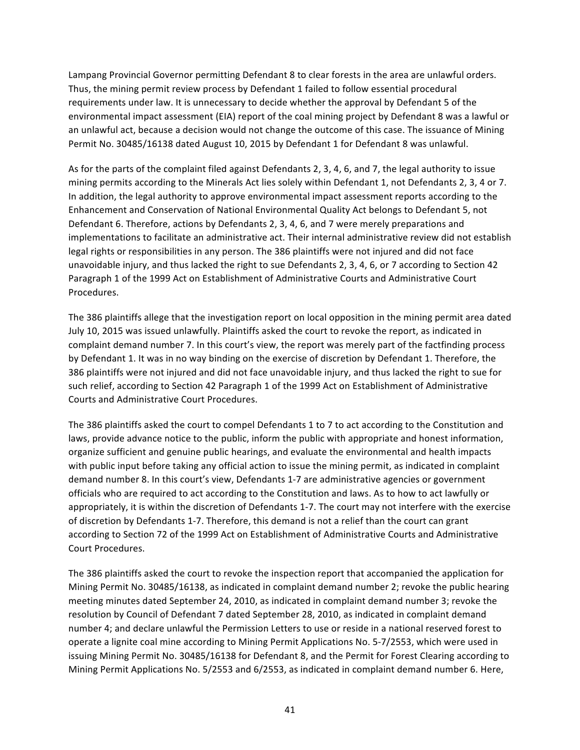Lampang Provincial Governor permitting Defendant 8 to clear forests in the area are unlawful orders. Thus, the mining permit review process by Defendant 1 failed to follow essential procedural requirements under law. It is unnecessary to decide whether the approval by Defendant 5 of the environmental impact assessment (EIA) report of the coal mining project by Defendant 8 was a lawful or an unlawful act, because a decision would not change the outcome of this case. The issuance of Mining Permit No. 30485/16138 dated August 10, 2015 by Defendant 1 for Defendant 8 was unlawful.

As for the parts of the complaint filed against Defendants 2, 3, 4, 6, and 7, the legal authority to issue mining permits according to the Minerals Act lies solely within Defendant 1, not Defendants 2, 3, 4 or 7. In addition, the legal authority to approve environmental impact assessment reports according to the Enhancement and Conservation of National Environmental Quality Act belongs to Defendant 5, not Defendant 6. Therefore, actions by Defendants 2, 3, 4, 6, and 7 were merely preparations and implementations to facilitate an administrative act. Their internal administrative review did not establish legal rights or responsibilities in any person. The 386 plaintiffs were not injured and did not face unavoidable injury, and thus lacked the right to sue Defendants 2, 3, 4, 6, or 7 according to Section 42 Paragraph 1 of the 1999 Act on Establishment of Administrative Courts and Administrative Court Procedures.

The 386 plaintiffs allege that the investigation report on local opposition in the mining permit area dated July 10, 2015 was issued unlawfully. Plaintiffs asked the court to revoke the report, as indicated in complaint demand number 7. In this court's view, the report was merely part of the factfinding process by Defendant 1. It was in no way binding on the exercise of discretion by Defendant 1. Therefore, the 386 plaintiffs were not injured and did not face unavoidable injury, and thus lacked the right to sue for such relief, according to Section 42 Paragraph 1 of the 1999 Act on Establishment of Administrative Courts and Administrative Court Procedures.

The 386 plaintiffs asked the court to compel Defendants 1 to 7 to act according to the Constitution and laws, provide advance notice to the public, inform the public with appropriate and honest information, organize sufficient and genuine public hearings, and evaluate the environmental and health impacts with public input before taking any official action to issue the mining permit, as indicated in complaint demand number 8. In this court's view, Defendants 1-7 are administrative agencies or government officials who are required to act according to the Constitution and laws. As to how to act lawfully or appropriately, it is within the discretion of Defendants 1-7. The court may not interfere with the exercise of discretion by Defendants 1-7. Therefore, this demand is not a relief than the court can grant according to Section 72 of the 1999 Act on Establishment of Administrative Courts and Administrative Court Procedures.

The 386 plaintiffs asked the court to revoke the inspection report that accompanied the application for Mining Permit No. 30485/16138, as indicated in complaint demand number 2; revoke the public hearing meeting minutes dated September 24, 2010, as indicated in complaint demand number 3; revoke the resolution by Council of Defendant 7 dated September 28, 2010, as indicated in complaint demand number 4; and declare unlawful the Permission Letters to use or reside in a national reserved forest to operate a lignite coal mine according to Mining Permit Applications No. 5-7/2553, which were used in issuing Mining Permit No. 30485/16138 for Defendant 8, and the Permit for Forest Clearing according to Mining Permit Applications No. 5/2553 and 6/2553, as indicated in complaint demand number 6. Here,